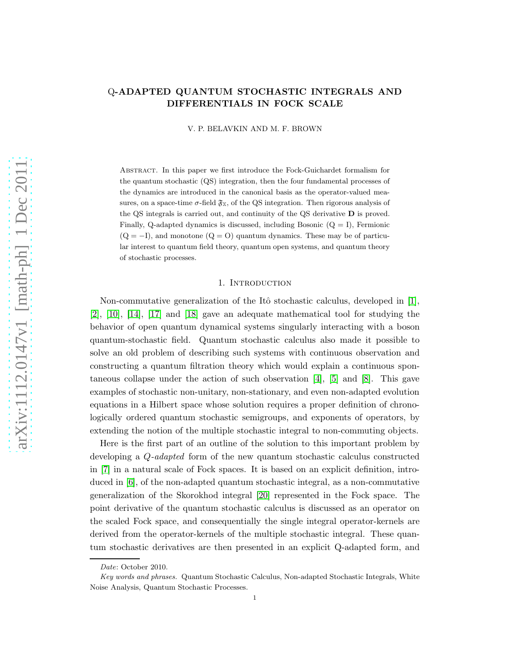# Q-ADAPTED QUANTUM STOCHASTIC INTEGRALS AND DIFFERENTIALS IN FOCK SCALE

V. P. BELAVKIN AND M. F. BROWN

Abstract. In this paper we first introduce the Fock-Guichardet formalism for the quantum stochastic (QS) integration, then the four fundamental processes of the dynamics are introduced in the canonical basis as the operator-valued measures, on a space-time  $\sigma$ -field  $\mathfrak{F}_X$ , of the QS integration. Then rigorous analysis of the QS integrals is carried out, and continuity of the QS derivative D is proved. Finally, Q-adapted dynamics is discussed, including Bosonic  $(Q = I)$ , Fermionic  $(Q = -I)$ , and monotone  $(Q = 0)$  quantum dynamics. These may be of particular interest to quantum field theory, quantum open systems, and quantum theory of stochastic processes.

#### 1. INTRODUCTION

Non-commutative generalization of the Itô stochastic calculus, developed in  $[1]$ , [\[2\]](#page-16-1), [\[10\]](#page-17-0), [\[14\]](#page-17-1), [\[17\]](#page-17-2) and [\[18\]](#page-17-3) gave an adequate mathematical tool for studying the behavior of open quantum dynamical systems singularly interacting with a boson quantum-stochastic field. Quantum stochastic calculus also made it possible to solve an old problem of describing such systems with continuous observation and constructing a quantum filtration theory which would explain a continuous spontaneous collapse under the action of such observation [\[4\]](#page-16-2), [\[5\]](#page-16-3) and [\[8\]](#page-16-4). This gave examples of stochastic non-unitary, non-stationary, and even non-adapted evolution equations in a Hilbert space whose solution requires a proper definition of chronologically ordered quantum stochastic semigroups, and exponents of operators, by extending the notion of the multiple stochastic integral to non-commuting objects.

Here is the first part of an outline of the solution to this important problem by developing a Q-adapted form of the new quantum stochastic calculus constructed in [\[7\]](#page-16-5) in a natural scale of Fock spaces. It is based on an explicit definition, introduced in [\[6\]](#page-16-6), of the non-adapted quantum stochastic integral, as a non-commutative generalization of the Skorokhod integral [\[20\]](#page-17-4) represented in the Fock space. The point derivative of the quantum stochastic calculus is discussed as an operator on the scaled Fock space, and consequentially the single integral operator-kernels are derived from the operator-kernels of the multiple stochastic integral. These quantum stochastic derivatives are then presented in an explicit Q-adapted form, and

Date: October 2010.

Key words and phrases. Quantum Stochastic Calculus, Non-adapted Stochastic Integrals, White Noise Analysis, Quantum Stochastic Processes.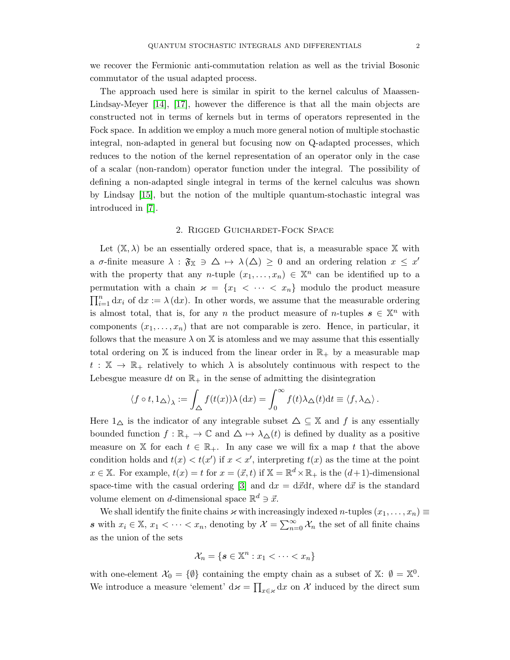we recover the Fermionic anti-commutation relation as well as the trivial Bosonic commutator of the usual adapted process.

The approach used here is similar in spirit to the kernel calculus of Maassen-Lindsay-Meyer [\[14\]](#page-17-1), [\[17\]](#page-17-2), however the difference is that all the main objects are constructed not in terms of kernels but in terms of operators represented in the Fock space. In addition we employ a much more general notion of multiple stochastic integral, non-adapted in general but focusing now on Q-adapted processes, which reduces to the notion of the kernel representation of an operator only in the case of a scalar (non-random) operator function under the integral. The possibility of defining a non-adapted single integral in terms of the kernel calculus was shown by Lindsay [\[15\]](#page-17-5), but the notion of the multiple quantum-stochastic integral was introduced in [\[7\]](#page-16-5).

#### 2. Rigged Guichardet-Fock Space

Let  $(X, \lambda)$  be an essentially ordered space, that is, a measurable space X with a  $\sigma$ -finite measure  $\lambda : \mathfrak{F}_{\mathbb{X}} \ni \Delta \mapsto \lambda(\Delta) \geq 0$  and an ordering relation  $x \leq x'$ with the property that any n-tuple  $(x_1, \ldots, x_n) \in \mathbb{X}^n$  can be identified up to a permutation with a chain  $\varkappa = \{x_1 \, \langle \, \cdots \, \langle \, x_n \rangle \}$  modulo the product measure  $\prod_{i=1}^n dx_i$  of  $dx := \lambda(dx)$ . In other words, we assume that the measurable ordering is almost total, that is, for any n the product measure of n-tuples  $s \in \mathbb{X}^n$  with components  $(x_1, \ldots, x_n)$  that are not comparable is zero. Hence, in particular, it follows that the measure  $\lambda$  on X is atomless and we may assume that this essentially total ordering on  $X$  is induced from the linear order in  $\mathbb{R}_+$  by a measurable map  $t : \mathbb{X} \to \mathbb{R}_+$  relatively to which  $\lambda$  is absolutely continuous with respect to the Lebesgue measure dt on  $\mathbb{R}_+$  in the sense of admitting the disintegration

$$
\langle f \circ t, 1_{\Delta} \rangle_{\lambda} := \int_{\Delta} f(t(x)) \lambda \,(\mathrm{d}x) = \int_{0}^{\infty} f(t) \lambda_{\Delta}(t) \mathrm{d}t \equiv \langle f, \lambda_{\Delta} \rangle.
$$

Here  $1_{\Delta}$  is the indicator of any integrable subset  $\Delta \subseteq \mathbb{X}$  and f is any essentially bounded function  $f : \mathbb{R}_+ \to \mathbb{C}$  and  $\Delta \mapsto \lambda_{\Delta}(t)$  is defined by duality as a positive measure on X for each  $t \in \mathbb{R}_+$ . In any case we will fix a map t that the above condition holds and  $t(x) < t(x')$  if  $x < x'$ , interpreting  $t(x)$  as the time at the point  $x \in \mathbb{X}$ . For example,  $t(x) = t$  for  $x = (\vec{x}, t)$  if  $\mathbb{X} = \mathbb{R}^d \times \mathbb{R}_+$  is the  $(d+1)$ -dimensional space-time with the casual ordering [\[3\]](#page-16-7) and  $dx = d\vec{x}dt$ , where  $d\vec{x}$  is the standard volume element on d-dimensional space  $\mathbb{R}^d \ni \vec{x}$ .

We shall identify the finite chains  $\varkappa$  with increasingly indexed n-tuples  $(x_1, \ldots, x_n) \equiv$ s with  $x_i \in \mathbb{X}, x_1 < \cdots < x_n$ , denoting by  $\mathcal{X} = \sum_{n=0}^{\infty} \mathcal{X}_n$  the set of all finite chains as the union of the sets

$$
\mathcal{X}_n = \{ \mathbf{s} \in \mathbb{X}^n : x_1 < \cdots < x_n \}
$$

with one-element  $\mathcal{X}_0 = \{\emptyset\}$  containing the empty chain as a subset of  $\mathbb{X}$ :  $\emptyset = \mathbb{X}^0$ . We introduce a measure 'element'  $d\boldsymbol{\varkappa} = \prod_{x \in \kappa} dx$  on  $\mathcal X$  induced by the direct sum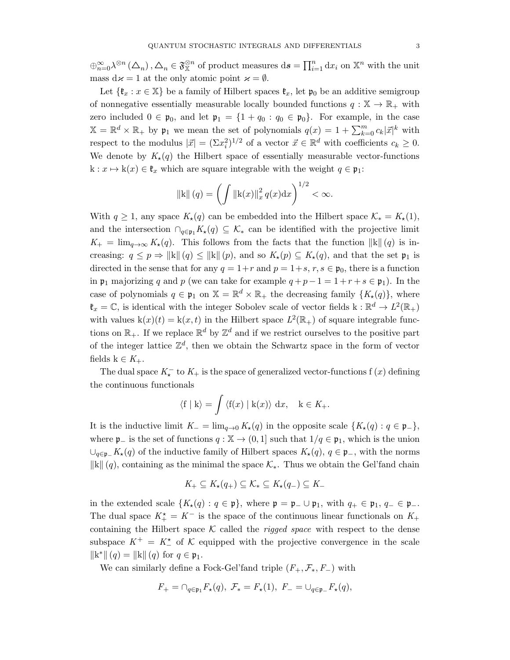$\bigoplus_{n=0}^{\infty} \lambda^{\otimes n} (\Delta_n), \Delta_n \in \mathfrak{F}_X^{\otimes n}$  of product measures  $ds = \prod_{i=1}^n dx_i$  on  $\mathbb{X}^n$  with the unit mass  $d\mu = 1$  at the only atomic point  $\mu = \emptyset$ .

Let  $\{\mathfrak{k}_x : x \in \mathbb{X}\}$  be a family of Hilbert spaces  $\mathfrak{k}_x$ , let  $\mathfrak{p}_0$  be an additive semigroup of nonnegative essentially measurable locally bounded functions  $q : \mathbb{X} \to \mathbb{R}_+$  with zero included  $0 \in \mathfrak{p}_0$ , and let  $\mathfrak{p}_1 = \{1 + q_0 : q_0 \in \mathfrak{p}_0\}$ . For example, in the case  $\mathbb{X} = \mathbb{R}^d \times \mathbb{R}_+$  by  $\mathfrak{p}_1$  we mean the set of polynomials  $q(x) = 1 + \sum_{k=0}^m c_k |\vec{x}|^k$  with respect to the modulus  $|\vec{x}| = (\Sigma x_i^2)^{1/2}$  of a vector  $\vec{x} \in \mathbb{R}^d$  with coefficients  $c_k \geq 0$ . We denote by  $K_{\star}(q)$  the Hilbert space of essentially measurable vector-functions  $k: x \mapsto k(x) \in \mathfrak{k}_x$  which are square integrable with the weight  $q \in \mathfrak{p}_1$ :

$$
||\mathbf{k}||(q) = \left(\int ||\mathbf{k}(x)||_x^2 q(x) dx\right)^{1/2} < \infty.
$$

With  $q \ge 1$ , any space  $K_{\star}(q)$  can be embedded into the Hilbert space  $\mathcal{K}_{*} = K_{\star}(1)$ , and the intersection  $\bigcap_{q\in\mathfrak{p}_1}K_{\star}(q)\subseteq\mathcal{K}_{*}$  can be identified with the projective limit  $K_{+} = \lim_{q \to \infty} K_{\star}(q)$ . This follows from the facts that the function  $\|\mathbf{k}\| (q)$  is increasing:  $q \leq p \Rightarrow ||\mathbf{k}|| (q) \leq ||\mathbf{k}|| (p)$ , and so  $K_{\star}(p) \subseteq K_{\star}(q)$ , and that the set  $\mathfrak{p}_1$  is directed in the sense that for any  $q = 1+r$  and  $p = 1+s$ ,  $r, s \in \mathfrak{p}_0$ , there is a function in  $\mathfrak{p}_1$  majorizing q and p (we can take for example  $q + p - 1 = 1 + r + s \in \mathfrak{p}_1$ ). In the case of polynomials  $q \in \mathfrak{p}_1$  on  $\mathbb{X} = \mathbb{R}^d \times \mathbb{R}_+$  the decreasing family  $\{K_\star(q)\}\$ , where  $\mathfrak{k}_x = \mathbb{C}$ , is identical with the integer Sobolev scale of vector fields  $k : \mathbb{R}^d \to L^2(\mathbb{R}_+)$ with values  $k(x)(t) = k(x, t)$  in the Hilbert space  $L^2(\mathbb{R}_+)$  of square integrable functions on  $\mathbb{R}_+$ . If we replace  $\mathbb{R}^d$  by  $\mathbb{Z}^d$  and if we restrict ourselves to the positive part of the integer lattice  $\mathbb{Z}^d$ , then we obtain the Schwartz space in the form of vector fields  $k \in K_+$ .

The dual space  $K_{\star}^-$  to  $K_{+}$  is the space of generalized vector-functions f  $(x)$  defining the continuous functionals

$$
\langle f | k \rangle = \int \langle f(x) | k(x) \rangle dx, \quad k \in K_+.
$$

It is the inductive limit  $K_-=\lim_{q\to 0} K_{\star}(q)$  in the opposite scale  $\{K_{\star}(q): q\in \mathfrak{p}_-\}$ , where  $\mathfrak{p}_-$  is the set of functions  $q : \mathbb{X} \to (0,1]$  such that  $1/q \in \mathfrak{p}_1$ , which is the union  $\cup_{q\in\mathfrak{p}_-} K_\star(q)$  of the inductive family of Hilbert spaces  $K_\star(q)$ ,  $q \in \mathfrak{p}_-$ , with the norms  $\|\mathbf{k}\|$  (q), containing as the minimal the space  $\mathcal{K}_*$ . Thus we obtain the Gel'fand chain

$$
K_+ \subseteq K_\star(q_+) \subseteq \mathcal{K}_* \subseteq K_\star(q_-) \subseteq K_-
$$

in the extended scale  $\{K_\star(q): q \in \mathfrak{p}\}\,$ , where  $\mathfrak{p} = \mathfrak{p}_-\cup \mathfrak{p}_1$ , with  $q_+ \in \mathfrak{p}_1, q_- \in \mathfrak{p}_-$ . The dual space  $K_{+}^{\star} = K^{-}$  is the space of the continuous linear functionals on  $K_{+}$ containing the Hilbert space  $K$  called the *rigged space* with respect to the dense subspace  $K^+ = K^*$  of K equipped with the projective convergence in the scale  $\|k^*\| (q) = \|k\| (q) \text{ for } q \in \mathfrak{p}_1.$ 

We can similarly define a Fock-Gel'fand triple  $(F_+, \mathcal{F}_*, F_-)$  with

$$
F_+ = \bigcap_{q \in \mathfrak{p}_1} F_{\star}(q), \ \mathcal{F}_{*} = F_{\star}(1), \ F_- = \bigcup_{q \in \mathfrak{p}_-} F_{\star}(q),
$$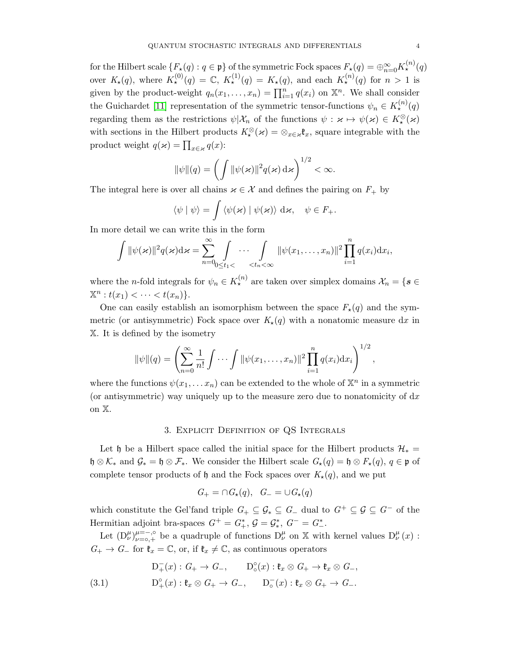for the Hilbert scale  $\{F_\star(q): q\in \mathfrak{p}\}$  of the symmetric Fock spaces  $F_\star(q)=\oplus_{n=0}^\infty K_\star^{(n)}(q)$ over  $K_{\star}(q)$ , where  $K_{\star}^{(0)}(q) = \mathbb{C}$ ,  $K_{\star}^{(1)}(q) = K_{\star}(q)$ , and each  $K_{\star}^{(n)}(q)$  for  $n > 1$  is given by the product-weight  $q_n(x_1,...,x_n) = \prod_{i=1}^n q(x_i)$  on  $\mathbb{X}^n$ . We shall consider the Guichardet [\[11\]](#page-17-6) representation of the symmetric tensor-functions  $\psi_n \in K_{\star}^{(n)}(q)$ regarding them as the restrictions  $\psi | \mathcal{X}_n$  of the functions  $\psi : \varkappa \mapsto \psi(\varkappa) \in K^{\otimes}(\varkappa)$ with sections in the Hilbert products  $K^{\otimes}_{\star}(\varkappa) = \otimes_{x \in \varkappa} \mathfrak{k}_x$ , square integrable with the product weight  $q(\varkappa) = \prod_{x \in \varkappa} q(x)$ :

$$
\|\psi\|(q) = \left(\int \|\psi(\varkappa)\|^2 q(\varkappa) d\varkappa\right)^{1/2} < \infty.
$$

The integral here is over all chains  $x \in \mathcal{X}$  and defines the pairing on  $F_+$  by

$$
\langle \psi | \psi \rangle = \int \langle \psi(\varkappa) | \psi(\varkappa) \rangle \, d\varkappa, \quad \psi \in F_+.
$$

In more detail we can write this in the form

$$
\int \|\psi(\varkappa)\|^2 q(\varkappa) d\varkappa = \sum_{n=0}^{\infty} \int_{0 \le t_1 < \cdots < t_n < \infty} \|\psi(x_1,\ldots,x_n)\|^2 \prod_{i=1}^n q(x_i) dx_i,
$$

where the *n*-fold integrals for  $\psi_n \in K_{\star}^{(n)}$  are taken over simplex domains  $\mathcal{X}_n = \{ s \in$  $\mathbb{X}^n : t(x_1) < \cdots < t(x_n) \}.$ 

One can easily establish an isomorphism between the space  $F_{\star}(q)$  and the symmetric (or antisymmetric) Fock space over  $K_{\star}(q)$  with a nonatomic measure dx in X. It is defined by the isometry

$$
\|\psi\|(q) = \left(\sum_{n=0}^{\infty} \frac{1}{n!} \int \cdots \int \|\psi(x_1,\ldots,x_n)\|^2 \prod_{i=1}^n q(x_i) \mathrm{d}x_i\right)^{1/2},
$$

where the functions  $\psi(x_1, \ldots, x_n)$  can be extended to the whole of  $\mathbb{X}^n$  in a symmetric (or antisymmetric) way uniquely up to the measure zero due to nonatomicity of  $dx$ on X.

## 3. Explicit Definition of QS Integrals

Let h be a Hilbert space called the initial space for the Hilbert products  $\mathcal{H}_* =$  $\mathfrak{h} \otimes \mathcal{K}_{*}$  and  $\mathcal{G}_{*} = \mathfrak{h} \otimes \mathcal{F}_{*}$ . We consider the Hilbert scale  $G_{\star}(q) = \mathfrak{h} \otimes F_{\star}(q)$ ,  $q \in \mathfrak{p}$  of complete tensor products of h and the Fock spaces over  $K_{\star}(q)$ , and we put

$$
G_{+} = \cap G_{\star}(q), \quad G_{-} = \cup G_{\star}(q)
$$

which constitute the Gel'fand triple  $G_+ \subseteq \mathcal{G}_+ \subseteq G_-$  dual to  $G^+ \subseteq \mathcal{G}_- \subseteq G^-$  of the Hermitian adjoint bra-spaces  $G^+ = G^*_+$ ,  $G = \mathcal{G}^*_*$ ,  $G^- = G^*_-$ .

Let  $(D^{\mu}_{\nu})_{\nu=0,+}^{\mu=-, \circ}$  be a quadruple of functions  $D^{\mu}_{\nu}$  on X with kernel values  $D^{\mu}_{\nu}(x)$ :  $G_+ \to G_-$  for  $\mathfrak{k}_x = \mathbb{C}$ , or, if  $\mathfrak{k}_x \neq \mathbb{C}$ , as continuous operators

<span id="page-3-0"></span>(3.1) 
$$
D_{+}^{-}(x): G_{+} \to G_{-}, \qquad D_{\circ}^{\circ}(x): \mathfrak{k}_{x} \otimes G_{+} \to \mathfrak{k}_{x} \otimes G_{-},
$$

$$
D_{+}^{\circ}(x): \mathfrak{k}_{x} \otimes G_{+} \to G_{-}, \qquad D_{\circ}^{-}(x): \mathfrak{k}_{x} \otimes G_{+} \to G_{-}.
$$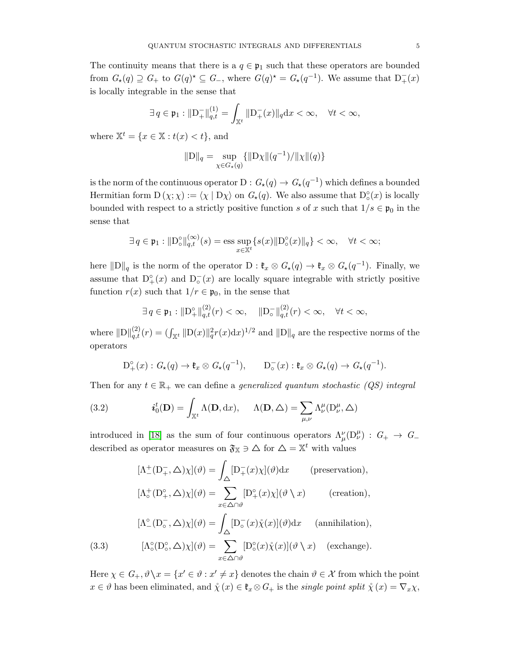The continuity means that there is a  $q \in \mathfrak{p}_1$  such that these operators are bounded from  $G_{\star}(q) \supseteq G_{+}$  to  $G(q)^{\star} \subseteq G_{-}$ , where  $G(q)^{\star} = G_{\star}(q^{-1})$ . We assume that  $D_{+}^{-}(x)$ is locally integrable in the sense that

$$
\exists\,q\in\mathfrak{p}_{1}:\Vert\mathbf{D}_{+}^{-}\Vert_{q,t}^{(1)}=\int_{\mathbb{X}^{t}}\Vert\mathbf{D}_{+}^{-}(x)\Vert_{q}\mathrm{d}x<\infty,\quad\forall t<\infty,
$$

where  $\mathbb{X}^t = \{x \in \mathbb{X} : t(x) < t\}$ , and

$$
\|\mathbf{D}\|_{q} = \sup_{\chi \in G_{\star}(q)} \{ \|\mathbf{D}\chi\|(q^{-1})/\|\chi\|(q) \}
$$

is the norm of the continuous operator  $D: G_{\star}(q) \to G_{\star}(q^{-1})$  which defines a bounded Hermitian form  $D(\chi;\chi) := \langle \chi | D\chi \rangle$  on  $G_{\star}(q)$ . We also assume that  $D_{\circ}^{\circ}(x)$  is locally bounded with respect to a strictly positive function s of x such that  $1/s \in \mathfrak{p}_0$  in the sense that

$$
\exists q \in \mathfrak{p}_1 : \|D^{\circ}_{\circ}\|_{q,t}^{(\infty)}(s) = \text{ess} \sup_{x \in \mathbb{X}^t} \{s(x) \|D^{\circ}_{\circ}(x)\|_q \} < \infty, \quad \forall t < \infty;
$$

here  $||D||_q$  is the norm of the operator  $D : \mathfrak{k}_x \otimes G_\star(q) \to \mathfrak{k}_x \otimes G_\star(q^{-1})$ . Finally, we assume that  $D_{+}^{\circ}(x)$  and  $D_{\circ}(x)$  are locally square integrable with strictly positive function  $r(x)$  such that  $1/r \in \mathfrak{p}_0$ , in the sense that

$$
\exists q \in \mathfrak{p}_1 : \|D^{\circ}_{+}\|_{q,t}^{(2)}(r) < \infty, \quad \|D^{-}_{\circ}\|_{q,t}^{(2)}(r) < \infty, \quad \forall t < \infty,
$$

where  $\|D\|_{q,t}^{(2)}(r) = (\int_{\mathbb{X}^t} \|D(x)\|_q^2 r(x) dx)^{1/2}$  and  $\|D\|_q$  are the respective norms of the operators

<span id="page-4-0"></span>
$$
D^{\circ}_{+}(x): G_{\star}(q) \to \mathfrak{k}_{x} \otimes G_{\star}(q^{-1}), \qquad D_{\circ}^{-}(x): \mathfrak{k}_{x} \otimes G_{\star}(q) \to G_{\star}(q^{-1}).
$$

Then for any  $t \in \mathbb{R}_+$  we can define a *generalized quantum stochastic (QS) integral* 

(3.2) 
$$
\boldsymbol{i}_{0}^{t}(\mathbf{D}) = \int_{\mathbb{X}^{t}} \Lambda(\mathbf{D}, dx), \quad \Lambda(\mathbf{D}, \Delta) = \sum_{\mu,\nu} \Lambda_{\nu}^{\mu}(\mathbf{D}_{\nu}^{\mu}, \Delta)
$$

introduced in [\[18\]](#page-17-3) as the sum of four continuous operators  $\Lambda^{\nu}_{\mu}(\mathcal{D}^{\mu}_{\nu})$  :  $G_{+} \to G_{-}$ described as operator measures on  $\mathfrak{F}_{\mathbb{X}} \ni \Delta$  for  $\Delta = \mathbb{X}^t$  with values

$$
[\Lambda_{-}^{+}(\mathbf{D}_{+}^{-}, \Delta)\chi](\vartheta) = \int_{\Delta} [\mathbf{D}_{+}^{-}(x)\chi](\vartheta) dx \qquad \text{(preservation)},
$$

$$
[\Lambda_{\circ}^{+}(\mathbf{D}_{+}^{\circ}, \Delta)\chi](\vartheta) = \sum_{x \in \Delta \cap \vartheta} [\mathbf{D}_{+}^{\circ}(x)\chi](\vartheta \setminus x) \qquad \text{(creation)},
$$

$$
[\Lambda_{-}^{\circ}(\mathbf{D}_{\circ}^{-}, \Delta)\chi](\vartheta) = \int_{\Delta} [\mathbf{D}_{\circ}^{-}(x)\chi(x)](\vartheta) dx \qquad \text{(annihilation)},
$$

$$
[\Lambda_{\circ}^{\circ}(\mathbf{D}_{\circ}^{\circ}, \Delta)\chi](\vartheta) = \sum_{x \in \Delta \cap \vartheta} [\mathbf{D}_{\circ}^{\circ}(x)\chi(x)](\vartheta \setminus x) \qquad \text{(exchange)}.
$$

<span id="page-4-1"></span>Here  $\chi \in G_+$ ,  $\vartheta \setminus x = \{x' \in \vartheta : x' \neq x\}$  denotes the chain  $\vartheta \in \mathcal{X}$  from which the point  $x \in \vartheta$  has been eliminated, and  $\mathring{\chi}(x) \in \mathfrak{k}_x \otimes G_+$  is the *single point split*  $\mathring{\chi}(x) = \nabla_x \chi$ ,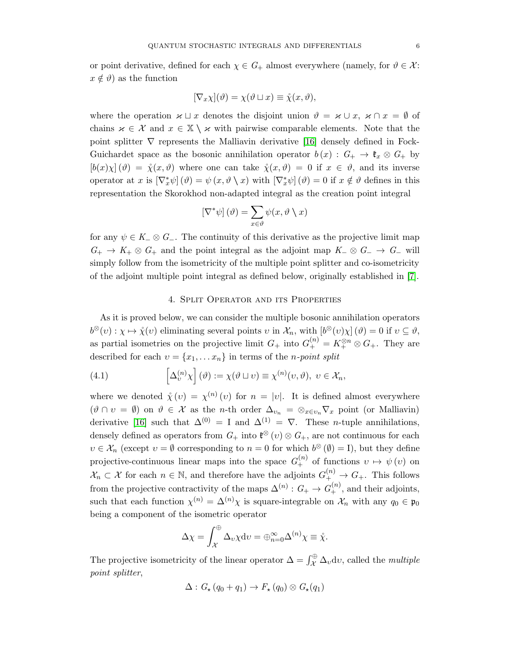or point derivative, defined for each  $\chi \in G_+$  almost everywhere (namely, for  $\vartheta \in \mathcal{X}$ :  $x \notin \vartheta$  as the function

$$
[\nabla_x \chi](\vartheta) = \chi(\vartheta \sqcup x) \equiv \mathring{\chi}(x, \vartheta),
$$

where the operation  $\varkappa \sqcup x$  denotes the disjoint union  $\vartheta = \varkappa \cup x$ ,  $\varkappa \cap x = \varnothing$  of chains  $x \in \mathcal{X}$  and  $x \in \mathbb{X} \setminus \mathcal{X}$  with pairwise comparable elements. Note that the point splitter  $\nabla$  represents the Malliavin derivative [\[16\]](#page-17-7) densely defined in Fock-Guichardet space as the bosonic annihilation operator  $b(x) : G_+ \to \mathfrak{k}_x \otimes G_+$  by  $[b(x)\chi](\vartheta) = \mathring{\chi}(x,\vartheta)$  where one can take  $\mathring{\chi}(x,\vartheta) = 0$  if  $x \in \vartheta$ , and its inverse operator at x is  $[\nabla_x^*\psi](\theta) = \psi(x, \theta \setminus x)$  with  $[\nabla_x^*\psi](\theta) = 0$  if  $x \notin \theta$  defines in this representation the Skorokhod non-adapted integral as the creation point integral

$$
\left[\nabla^*\psi\right](\vartheta) = \sum_{x\in\vartheta}\psi(x,\vartheta\setminus x)
$$

for any  $\psi \in K_-\otimes G_-\$ . The continuity of this derivative as the projective limit map  $G_+ \to K_+ \otimes G_+$  and the point integral as the adjoint map  $K_- \otimes G_- \to G_-$  will simply follow from the isometricity of the multiple point splitter and co-isometricity of the adjoint multiple point integral as defined below, originally established in [\[7\]](#page-16-5).

## <span id="page-5-0"></span>4. Split Operator and its Properties

As it is proved below, we can consider the multiple bosonic annihilation operators  $b^{\otimes}(v) : \chi \mapsto \mathring{\chi}(v)$  eliminating several points  $v$  in  $\mathcal{X}_n$ , with  $[b^{\otimes}(v)\chi](\vartheta) = 0$  if  $v \subseteq \vartheta$ , as partial isometries on the projective limit  $G_+$  into  $G_+^{(n)} = K_+^{\otimes n} \otimes G_+$ . They are described for each  $v = \{x_1, \ldots x_n\}$  in terms of the *n-point split* 

(4.1) 
$$
\left[\Delta_v^{(n)}\chi\right](\vartheta) := \chi(\vartheta \sqcup v) \equiv \chi^{(n)}(v,\vartheta), \ v \in \mathcal{X}_n,
$$

where we denoted  $\chi(v) = \chi^{(n)}(v)$  for  $n = |v|$ . It is defined almost everywhere  $(\vartheta \cap v = \varnothing)$  on  $\vartheta \in \mathcal{X}$  as the *n*-th order  $\Delta_{v_n} = \otimes_{x \in v_n} \nabla_x$  point (or Malliavin) derivative [\[16\]](#page-17-7) such that  $\Delta^{(0)} = I$  and  $\Delta^{(1)} = \nabla$ . These *n*-tuple annihilations, densely defined as operators from  $G_+$  into  $\mathfrak{k}^{\otimes}(v) \otimes G_+$ , are not continuous for each  $v \in \mathcal{X}_n$  (except  $v = \emptyset$  corresponding to  $n = 0$  for which  $b^{\otimes}(\emptyset) = I$ ), but they define projective-continuous linear maps into the space  $G_+^{(n)}$  of functions  $v \mapsto \psi(v)$  on  $\mathcal{X}_n \subset \mathcal{X}$  for each  $n \in \mathbb{N}$ , and therefore have the adjoints  $G_+^{(n)} \to G_+$ . This follows from the projective contractivity of the maps  $\Delta^{(n)}: G_+ \to G_+^{(n)}$ , and their adjoints, such that each function  $\chi^{(n)} = \Delta^{(n)} \chi$  is square-integrable on  $\mathcal{X}_n$  with any  $q_0 \in \mathfrak{p}_0$ being a component of the isometric operator

$$
\Delta \chi = \int_{\mathcal{X}}^{\oplus} \Delta_v \chi \mathrm{d}v = \oplus_{n=0}^{\infty} \Delta^{(n)} \chi \equiv \mathring{\chi}.
$$

The projective isometricity of the linear operator  $\Delta = \int_{\mathcal{X}}^{\oplus} \Delta_v dv$ , called the *multiple* point splitter,

$$
\Delta: G_{\star}(q_0 + q_1) \to F_{\star}(q_0) \otimes G_{\star}(q_1)
$$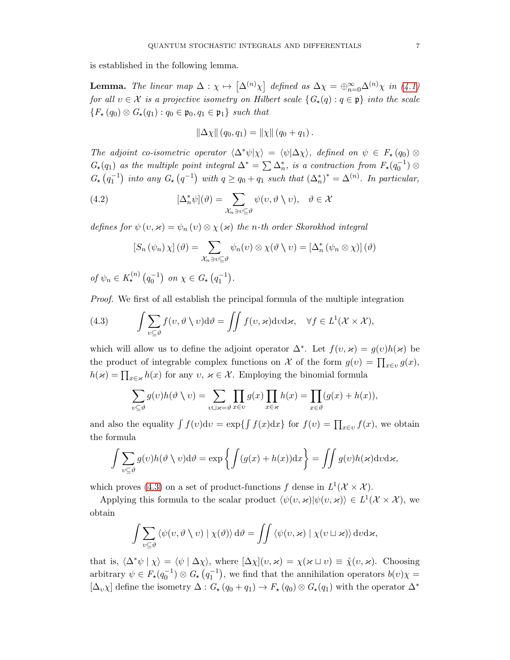is established in the following lemma.

**Lemma.** The linear map  $\Delta : \chi \mapsto [\Delta^{(n)}\chi]$  defined as  $\Delta\chi = \bigoplus_{n=0}^{\infty} \Delta^{(n)}\chi$  in [\(4.1\)](#page-5-0) for all  $v \in \mathcal{X}$  is a projective isometry on Hilbert scale  $\{G_\star(q) : q \in \mathfrak{p}\}\$  into the scale  ${F_{\star}(q_0) \otimes G_{\star}(q_1) : q_0 \in \mathfrak{p}_0, q_1 \in \mathfrak{p}_1}$  such that

$$
\|\Delta \chi\| (q_0, q_1) = \|\chi\| (q_0 + q_1).
$$

The adjoint co-isometric operator  $\langle \Delta^* \psi | \chi \rangle = \langle \psi | \Delta \chi \rangle$ , defined on  $\psi \in F_{\star} (q_0) \otimes$  $G_{\star}(q_1)$  as the multiple point integral  $\Delta^* = \sum \Delta_n^*$ , is a contraction from  $F_{\star}(q_0^{-1}) \otimes$  $G_{\star}(q_1^{-1})$  into any  $G_{\star}(q^{-1})$  with  $q \geq q_0 + q_1$  such that  $(\Delta_n^*)^* = \Delta^{(n)}$ . In particular,

(4.2) 
$$
[\Delta_n^* \psi](\theta) = \sum_{\mathcal{X}_n \ni v \subseteq \theta} \psi(v, \theta \setminus v), \quad \theta \in \mathcal{X}
$$

defines for  $\psi(v, \varkappa) = \psi_n(v) \otimes \chi(\varkappa)$  the n-th order Skorokhod integral

$$
\left[S_n(\psi_n)\chi\right](\vartheta) = \sum_{\mathcal{X}_n \ni v \subseteq \vartheta} \psi_n(v) \otimes \chi(\vartheta \setminus v) = \left[\Delta_n^* (\psi_n \otimes \chi)\right](\vartheta)
$$

of  $\psi_n \in K_{\star}^{(n)}(q_0^{-1})$  on  $\chi \in G_{\star}(q_1^{-1})$ .

Proof. We first of all establish the principal formula of the multiple integration

<span id="page-6-0"></span>(4.3) 
$$
\int \sum_{v \subseteq \vartheta} f(v, \vartheta \setminus v) d\vartheta = \iint f(v, \varkappa) d\nu d\varkappa, \quad \forall f \in L^1(\mathcal{X} \times \mathcal{X}),
$$

which will allow us to define the adjoint operator  $\Delta^*$ . Let  $f(v, \varkappa) = g(v)h(\varkappa)$  be the product of integrable complex functions on X of the form  $g(v) = \prod_{x \in v} g(x)$ ,  $h(\varkappa) = \prod_{x \in \varkappa} h(x)$  for any  $v, \varkappa \in \mathcal{X}$ . Employing the binomial formula

$$
\sum_{v \subseteq \vartheta} g(v)h(\vartheta \setminus v) = \sum_{v \sqcup \varkappa = \vartheta} \prod_{x \in v} g(x) \prod_{x \in \varkappa} h(x) = \prod_{x \in \vartheta} (g(x) + h(x)),
$$

and also the equality  $\int f(v)dv = \exp\{\int f(x)dx\}$  for  $f(v) = \prod_{x \in v} f(x)$ , we obtain the formula

$$
\int \sum_{v \subseteq \vartheta} g(v) h(\vartheta \setminus v) d\vartheta = \exp \left\{ \int (g(x) + h(x)) dx \right\} = \iint g(v) h(\varkappa) d\nu d\varkappa,
$$

which proves [\(4.3\)](#page-6-0) on a set of product-functions f dense in  $L^1(\mathcal{X} \times \mathcal{X})$ .

Applying this formula to the scalar product  $\langle \psi(v, \varkappa) | \psi(v, \varkappa) \rangle \in L^1(\mathcal{X} \times \mathcal{X})$ , we obtain

$$
\int \sum_{v \subseteq \vartheta} \langle \psi(v, \vartheta \setminus v) | \chi(\vartheta) \rangle d\vartheta = \iint \langle \psi(v, \varkappa) | \chi(v \sqcup \varkappa) \rangle d\upsilon d\varkappa,
$$

that is,  $\langle \Delta^* \psi | \chi \rangle = \langle \psi | \Delta \chi \rangle$ , where  $[\Delta \chi](v, \varkappa) = \chi(\varkappa \sqcup v) \equiv \chi(v, \varkappa)$ . Choosing arbitrary  $\psi \in F_{\star}(q_0^{-1}) \otimes G_{\star}(q_1^{-1}),$  we find that the annihilation operators  $b(v)\chi =$  $[\Delta_v \chi]$  define the isometry  $\Delta: G_*(q_0 + q_1) \to F_*(q_0) \otimes G_*(q_1)$  with the operator  $\Delta^*$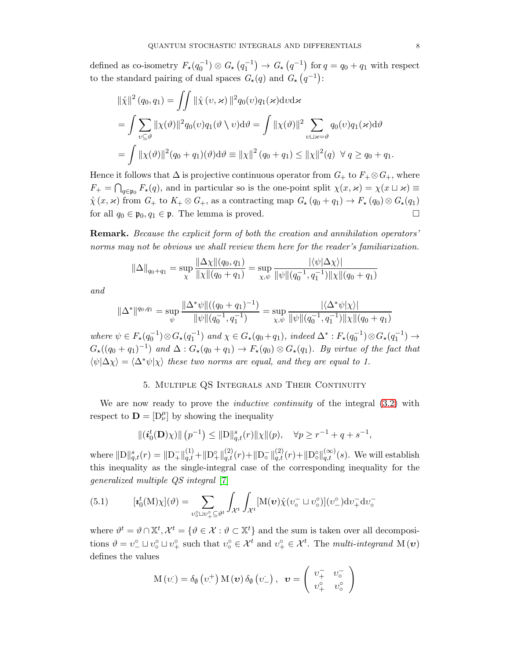defined as co-isometry  $F_{\star}(q_0^{-1}) \otimes G_{\star}(q_1^{-1}) \to G_{\star}(q^{-1})$  for  $q = q_0 + q_1$  with respect to the standard pairing of dual spaces  $G_{\star}(q)$  and  $G_{\star}(q^{-1})$ :

$$
\|\mathring{\chi}\|^2 (q_0, q_1) = \iint \|\mathring{\chi}(v, \varkappa)\|^2 q_0(v) q_1(\varkappa) \mathrm{d}v \mathrm{d}\varkappa
$$
  
= 
$$
\int \sum_{v \subseteq \vartheta} \|\chi(\vartheta)\|^2 q_0(v) q_1(\vartheta \setminus v) \mathrm{d}\vartheta = \int \|\chi(\vartheta)\|^2 \sum_{v \sqcup \varkappa = \vartheta} q_0(v) q_1(\varkappa) \mathrm{d}\vartheta
$$
  
= 
$$
\int \|\chi(\vartheta)\|^2 (q_0 + q_1)(\vartheta) \mathrm{d}\vartheta \equiv \|\chi\|^2 (q_0 + q_1) \leq \|\chi\|^2 (q) \ \forall \ q \geq q_0 + q_1.
$$

Hence it follows that  $\Delta$  is projective continuous operator from  $G_+$  to  $F_+ \otimes G_+$ , where  $F_+ = \bigcap_{q \in \mathfrak{p}_0} F_{\star}(q)$ , and in particular so is the one-point split  $\chi(x, \varkappa) = \chi(x \sqcup \varkappa) \equiv$  $\chi(x, \varkappa)$  from  $G_+$  to  $K_+ \otimes G_+$ , as a contracting map  $G_\star(q_0 + q_1) \to F_\star(q_0) \otimes G_\star(q_1)$ for all  $q_0 \in \mathfrak{p}_0, q_1 \in \mathfrak{p}$ . The lemma is proved.

Remark. Because the explicit form of both the creation and annihilation operators' norms may not be obvious we shall review them here for the reader's familiarization.

$$
\|\Delta\|_{q_0+q_1} = \sup_{\chi} \frac{\|\Delta\chi\|(q_0, q_1)}{\|\chi\|(q_0 + q_1)} = \sup_{\chi, \psi} \frac{|\langle \psi | \Delta\chi \rangle|}{\|\psi\|(q_0^{-1}, q_1^{-1})\|\chi\|(q_0 + q_1)}
$$

and

$$
\|\Delta^*\|^{q_0,q_1} = \sup_{\psi} \frac{\|\Delta^*\psi\|((q_0+q_1)^{-1})}{\|\psi\|(q_0^{-1},q_1^{-1})} = \sup_{\chi,\psi} \frac{|\langle \Delta^*\psi|\chi\rangle|}{\|\psi\|(q_0^{-1},q_1^{-1})\|\chi\|(q_0+q_1)}
$$

where  $\psi \in F_{\star}(q_0^{-1}) \otimes G_{\star}(q_1^{-1})$  and  $\chi \in G_{\star}(q_0 + q_1)$ , indeed  $\Delta^* : F_{\star}(q_0^{-1}) \otimes G_{\star}(q_1^{-1}) \rightarrow$  $G_{\star}((q_0+q_1)^{-1})$  and  $\Delta: G_{\star}(q_0+q_1) \to F_{\star}(q_0) \otimes G_{\star}(q_1)$ . By virtue of the fact that  $\langle \psi | \Delta \chi \rangle = \langle \Delta^* \psi | \chi \rangle$  these two norms are equal, and they are equal to 1.

# 5. Multiple QS Integrals and Their Continuity

We are now ready to prove the *inductive continuity* of the integral  $(3.2)$  with respect to  $\mathbf{D} = [\mathbf{D}_{\nu}^{\mu}]$  by showing the inequality

$$
\|(\boldsymbol{i}_0^t(\mathbf{D})\chi)\| (p^{-1}) \leq \|\mathbf{D}\|_{q,t}^s(r)\|\chi\|(p), \quad \forall p \geq r^{-1} + q + s^{-1},
$$

where  $\|D\|_{q,t}^s(r) = \|D_{+}^{-}\|_{q,t}^{(1)} + \|D_{+}^{\circ}\|_{q,t}^{(2)}(r) + \|D_{\circ}^{-}\|_{q,t}^{(2)}(r) + \|D_{\circ}^{\circ}\|_{q,t}^{(\infty)}(s)$ . We will establish this inequality as the single-integral case of the corresponding inequality for the generalized multiple QS integral [\[7\]](#page-16-5)

<span id="page-7-0"></span>(5.1) 
$$
[\mathbf{z}_0^t(\mathbf{M})\chi](\vartheta) = \sum_{v_0^0 \sqcup v_+^0 \subseteq \vartheta^t} \int_{\mathcal{X}^t} \int_{\mathcal{X}^t} [\mathbf{M}(\mathbf{v})\mathring{\chi}(v_0^- \sqcup v_0^0)](v_-^0) \mathrm{d}v_+^{-} \mathrm{d}v_0^-
$$

where  $\vartheta^t = \vartheta \cap \mathbb{X}^t, \mathcal{X}^t = \{\vartheta \in \mathcal{X} : \vartheta \subset \mathbb{X}^t\}$  and the sum is taken over all decompositions  $\vartheta = v_-^{\circ} \sqcup v_{\circ}^{\circ} \sqcup v_+^{\circ}$  such that  $v_{\circ}^{\circ} \in \mathcal{X}^t$  and  $v_+^{\circ} \in \mathcal{X}^t$ . The *multi-integrand*  $M(\nu)$ defines the values

$$
\mathrm{M}(v_{\cdot}^{\cdot}) = \delta_{\emptyset} (v_{\cdot}^{+}) \mathrm{M}(v) \, \delta_{\emptyset} (v_{-}^{\cdot}), \ \ v = \left( \begin{array}{cc} v_{+}^{-} & v_{\circ}^{-} \\ v_{+}^{\circ} & v_{\circ}^{\circ} \end{array} \right)
$$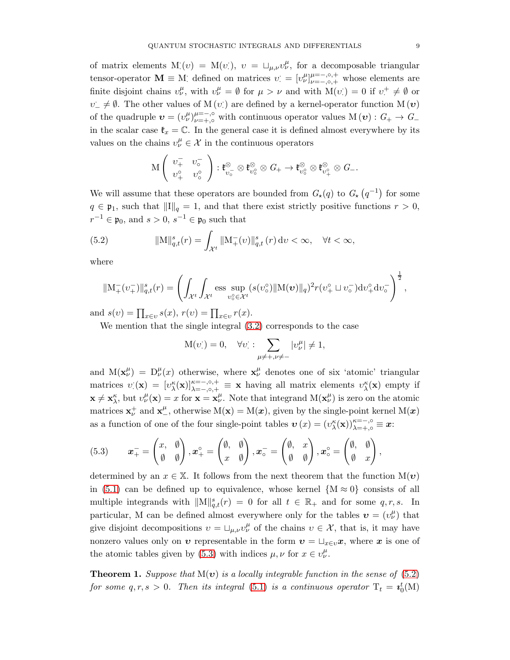of matrix elements M:(v) = M(v:),  $v = \Box_{\mu,\nu} v^{\mu}_{\nu}$ , for a decomposable triangular tensor-operator  $\mathbf{M} \equiv M$ ; defined on matrices  $v = [v_{\nu}^{\mu}]_{\nu=-,\circ,+}^{\mu=-,\circ,+}$  whose elements are finite disjoint chains  $v^{\mu}_{\nu}$ , with  $v^{\mu}_{\nu} = \emptyset$  for  $\mu > \nu$  and with  $M(v) = 0$  if  $v^+ \neq \emptyset$  or  $v^{\perp} \neq \emptyset$ . The other values of M  $(v)$  are defined by a kernel-operator function M  $(v)$ of the quadruple  $\boldsymbol{v} = (v^{\mu}_{\nu})_{\nu=+}^{\mu=-, \circ}$  with continuous operator values  $M(\boldsymbol{v}) : G_+ \to G_$ in the scalar case  $\mathfrak{k}_x = \mathbb{C}$ . In the general case it is defined almost everywhere by its values on the chains  $v^{\mu}_{\nu} \in \mathcal{X}$  in the continuous operators

$$
\mathcal{M}\left(\begin{array}{cc} \upsilon^-_+&\upsilon^-_\circ\\ \upsilon^\circ_+&\upsilon^\circ_\circ\end{array}\right):\mathfrak{k}_{\upsilon_\circ^-}^\otimes\otimes\mathfrak{k}_{\upsilon_\circ^\circ}^\otimes\otimes G_+\to \mathfrak{k}_{\upsilon_\circ^\circ}^\otimes\otimes\mathfrak{k}_{\upsilon^\circ_+}^\otimes\otimes G_-.
$$

We will assume that these operators are bounded from  $G_{\star}(q)$  to  $G_{\star}(q^{-1})$  for some  $q \in \mathfrak{p}_1$ , such that  $\|\mathbf{I}\|_q = 1$ , and that there exist strictly positive functions  $r > 0$ ,  $r^{-1} \in \mathfrak{p}_0$ , and  $s > 0$ ,  $s^{-1} \in \mathfrak{p}_0$  such that

(5.2) 
$$
\|\mathbf{M}\|_{q,t}^s(r) = \int_{\mathcal{X}^t} \|\mathbf{M}_+(v)\|_{q,t}^s(r) \, \mathrm{d}v < \infty, \quad \forall t < \infty,
$$

where

<span id="page-8-1"></span>
$$
\|\mathbf{M}_{+}^{-}(v_{+}^{-})\|_{q,t}^{s}(r) = \left(\int_{\mathcal{X}^{t}} \int_{\mathcal{X}^{t}} \operatorname{ess} \sup_{v_{o}^{\circ} \in \mathcal{X}^{t}} (s(v_{o}^{\circ}) \|\mathbf{M}(v)\|_{q})^{2} r(v_{+}^{\circ} \sqcup v_{o}^{-}) \mathrm{d}v_{+}^{\circ} \mathrm{d}v_{o}^{-}\right)^{\frac{1}{2}},
$$

and  $s(v) = \prod_{x \in v} s(x)$ ,  $r(v) = \prod_{x \in v} r(x)$ .

We mention that the single integral [\(3.2\)](#page-4-0) corresponds to the case

$$
M(vi) = 0, \quad \forall v \, : \sum_{\mu \neq +, \nu \neq -} |v^{\mu}_{\nu}| \neq 1,
$$

and  $M(\mathbf{x}_{\nu}^{\mu}) = D_{\nu}^{\mu}(x)$  otherwise, where  $\mathbf{x}_{\nu}^{\mu}$  denotes one of six 'atomic' triangular matrices  $v(\mathbf{x}) = [v_{\lambda}^{\kappa}(\mathbf{x})]_{\lambda=-,0,+}^{\kappa=-,0,+} \equiv \mathbf{x}$  having all matrix elements  $v_{\lambda}^{\kappa}(\mathbf{x})$  empty if  $\mathbf{x} \neq \mathbf{x}_{\lambda}^{\kappa}$ , but  $v_{\nu}^{\mu}(\mathbf{x}) = x$  for  $\mathbf{x} = \mathbf{x}_{\nu}^{\mu}$ . Note that integrand  $M(\mathbf{x}_{\nu}^{\mu})$  is zero on the atomic matrices  $\mathbf{x}_{\nu}^{+}$  and  $\mathbf{x}_{-}^{\mu}$ , otherwise  $M(\mathbf{x}) = M(\mathbf{x})$ , given by the single-point kernel  $M(\mathbf{x})$ as a function of one of the four single-point tables  $\mathbf{v}(x) = (v_{\lambda}^{\kappa}(\mathbf{x}))_{\lambda = +, \circ}^{\kappa = -, \circ} \equiv \mathbf{x}$ :

<span id="page-8-0"></span>(5.3) 
$$
\boldsymbol{x}_{+}^{-} = \begin{pmatrix} x, & \emptyset \\ \emptyset & \emptyset \end{pmatrix}, \boldsymbol{x}_{+}^{\circ} = \begin{pmatrix} \emptyset, & \emptyset \\ x & \emptyset \end{pmatrix}, \boldsymbol{x}_{\circ}^{-} = \begin{pmatrix} \emptyset, & x \\ \emptyset & \emptyset \end{pmatrix}, \boldsymbol{x}_{\circ}^{\circ} = \begin{pmatrix} \emptyset, & \emptyset \\ \emptyset & x \end{pmatrix},
$$

determined by an  $x \in \mathbb{X}$ . It follows from the next theorem that the function  $M(\boldsymbol{v})$ in [\(5.1\)](#page-7-0) can be defined up to equivalence, whose kernel  ${M \approx 0}$  consists of all multiple integrands with  $\|\mathbf{M}\|_{q,t}^s(r) = 0$  for all  $t \in \mathbb{R}_+$  and for some  $q, r, s$ . In particular, M can be defined almost everywhere only for the tables  $\boldsymbol{v} = (v^{\mu}_{\nu})$  that give disjoint decompositions  $v = \Box_{\mu,\nu} v^{\mu}_{\nu}$  of the chains  $v \in \mathcal{X}$ , that is, it may have nonzero values only on  $v$  representable in the form  $v = \sqcup_{x \in v} x$ , where x is one of the atomic tables given by [\(5.3\)](#page-8-0) with indices  $\mu, \nu$  for  $x \in v^{\mu}_{\nu}$ .

**Theorem 1.** Suppose that  $M(v)$  is a locally integrable function in the sense of [\(5.2\)](#page-8-1) for some  $q, r, s > 0$ . Then its integral [\(5.1\)](#page-7-0) is a continuous operator  $T_t = \boldsymbol{i}_0^t(M)$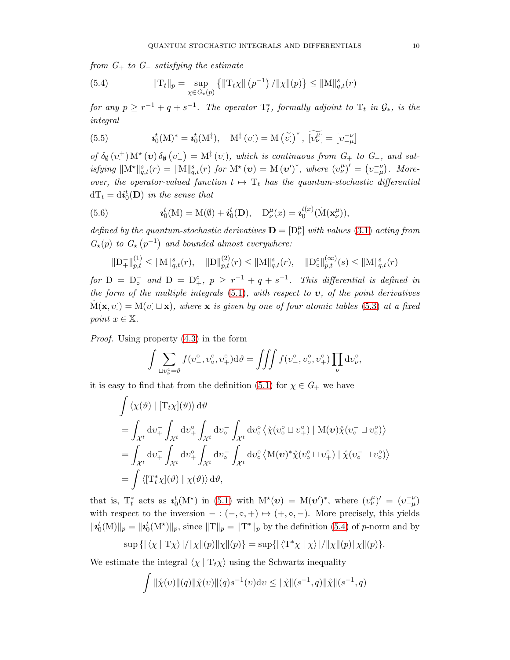from  $G_+$  to  $G_-$  satisfying the estimate

<span id="page-9-0"></span>(5.4) 
$$
\|\mathrm{T}_{t}\|_{p} = \sup_{\chi \in G_{\star}(p)} \left\{ \|\mathrm{T}_{t}\chi\| \left(p^{-1}\right) / \|\chi\| (p) \right\} \leq \|\mathrm{M}\|_{q,t}^{s}(r)
$$

for any  $p \geq r^{-1} + q + s^{-1}$ . The operator  $\mathrm{T}^*_t$ , formally adjoint to  $\mathrm{T}_t$  in  $\mathcal{G}_*$ , is the integral

(5.5) 
$$
\mathbf{\iota}_{0}^{t}(\mathbf{M})^{*} = \mathbf{\iota}_{0}^{t}(\mathbf{M}^{\ddagger}), \quad \mathbf{M}^{\ddagger}(\upsilon) = \mathbf{M}(\widetilde{\upsilon})^{*}, \ \widetilde{[\upsilon_{\nu}^{\mu}]} = [\upsilon_{-\mu}^{-\nu}]
$$

of  $\delta_{\emptyset}(v^+)$  M<sup>\*</sup> (**v**)  $\delta_{\emptyset}(v^-) = M^{\ddagger}(v)$ , which is continuous from  $G_+$  to  $G_-$ , and satisfying  $\|\mathbf{M}^{\star}\|_{q,t}^{s}(r) = \|\mathbf{M}\|_{q,t}^{s}(r)$  for  $\mathbf{M}^{\star}(\boldsymbol{v}) = \mathbf{M}(\boldsymbol{v}')^{*}$ , where  $(v_{\nu}^{\mu})' = (v_{-\mu}^{-\nu})$ . Moreover, the operator-valued function  $t \mapsto T_t$  has the quantum-stochastic differential  $dT_t = \mathrm{d} \boldsymbol{i}_0^t(\mathbf{D})$  in the sense that

(5.6) 
$$
\mathbf{\iota}_{0}^{t}(\mathbf{M})=\mathbf{M}(\emptyset)+\mathbf{\iota}_{0}^{t}(\mathbf{D}),\quad \mathbf{D}_{\nu}^{\mu}(x)=\mathbf{\iota}_{0}^{t(x)}(\mathbf{\dot{M}}(\mathbf{x}_{\nu}^{\mu})),
$$

defined by the quantum-stochastic derivatives  $\mathbf{D} = [\mathbf{D}_{\nu}^{\mu}]$  with values [\(3.1\)](#page-3-0) acting from  $G_{\star}(p)$  to  $G_{\star}(p^{-1})$  and bounded almost everywhere:

$$
\|\mathbf{D}_{+}^{-}\|_{p,t}^{(1)} \leq \|\mathbf{M}\|_{q,t}^{s}(r), \quad \|\mathbf{D}\|_{p,t}^{(2)}(r) \leq \|\mathbf{M}\|_{q,t}^{s}(r), \quad \|\mathbf{D}_{\circ}^{\circ}\|_{p,t}^{(\infty)}(s) \leq \|\mathbf{M}\|_{q,t}^{s}(r)
$$

for  $D = D_0^-$  and  $D = D_+^{\circ}$ ,  $p \geq r^{-1} + q + s^{-1}$ . This differential is defined in the form of the multiple integrals  $(5.1)$ , with respect to  $v$ , of the point derivatives  $\dot{M}(\mathbf{x}, v) = M(v \perp \mathbf{x})$ , where  $\mathbf{x}$  is given by one of four atomic tables [\(5.3\)](#page-8-0) at a fixed point  $x \in \mathbb{X}$ .

Proof. Using property [\(4.3\)](#page-6-0) in the form

$$
\int \sum_{\sqcup v_{\nu}^{\circ} = \vartheta} f(v_{-}^{\circ}, v_{\circ}^{\circ}, v_{+}^{\circ}) d\vartheta = \iiint f(v_{-}^{\circ}, v_{\circ}^{\circ}, v_{+}^{\circ}) \prod_{\nu} dv_{\nu}^{\circ},
$$

it is easy to find that from the definition [\(5.1\)](#page-7-0) for  $\chi \in G_+$  we have

$$
\int \langle \chi(\vartheta) | [T_t \chi](\vartheta) \rangle d\vartheta
$$
\n
$$
= \int_{\mathcal{X}^t} dv_+^{\tilde{}} \int_{\mathcal{X}^t} dv_+^{\circ} \int_{\mathcal{X}^t} dv_{\circ}^{\tilde{}} \int_{\mathcal{X}^t} dv_{\circ}^{\circ} \langle \chi(v_{\circ}^{\circ} \sqcup v_{+}^{\circ}) | M(v) \chi(v_{\circ}^{\tilde{}} \sqcup v_{\circ}^{\circ}) \rangle
$$
\n
$$
= \int_{\mathcal{X}^t} dv_+^{\tilde{}} \int_{\mathcal{X}^t} dv_+^{\circ} \int_{\mathcal{X}^t} dv_{\circ}^{\tilde{}} \int_{\mathcal{X}^t} dv_{\circ}^{\circ} \langle M(v)^* \chi(v_{\circ}^{\circ} \sqcup v_{+}^{\circ}) | \chi(v_{\circ}^{\tilde{}} \sqcup v_{\circ}^{\circ}) \rangle
$$
\n
$$
= \int \langle [T_t^* \chi](\vartheta) | \chi(\vartheta) \rangle d\vartheta,
$$

that is,  $T_t^*$  acts as  $\mathbf{\iota}_0^t(M^*)$  in [\(5.1\)](#page-7-0) with  $M^*(v) = M(v')^*$ , where  $(v_\nu^{\mu})' = (v_{-\mu}^{-\nu})$ with respect to the inversion  $-:(-,\circ,+) \mapsto (+,\circ,-)$ . More precisely, this yields  $||\mathbf{z}_0^t(M)||_p = ||\mathbf{z}_0^t(M^*)||_p$ , since  $||T||_p = ||T^*||_p$  by the definition [\(5.4\)](#page-9-0) of p-norm and by

$$
\sup\left\{\left|\left\langle\chi\mid\mathrm{T}\chi\right\rangle\right|/\|\chi\|(p)\|\chi\|(p)\right\}=\sup\left\{\left|\left\langle\mathrm{T}^*\chi\mid\chi\right\rangle\right|/\|\chi\|(p)\|\chi\|(p)\right\}.
$$

We estimate the integral  $\langle \chi | T_t \chi \rangle$  using the Schwartz inequality

$$
\int \|\mathring{\chi}(v)\|(q)\|\mathring{\chi}(v)\|(q)s^{-1}(v)dv \le \|\mathring{\chi}\|(s^{-1},q)\|\mathring{\chi}\|(s^{-1},q)
$$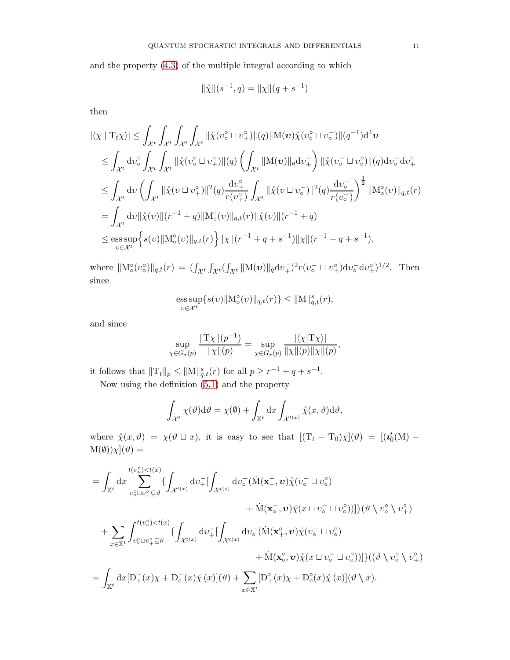and the property [\(4.3\)](#page-6-0) of the multiple integral according to which

$$
\|\mathbf{x}\|(s^{-1},q) = \|\mathbf{x}\|(q+s^{-1})
$$

then

$$
\begin{split}\n&|\langle \chi \mid \mathcal{T}_{t} \chi \rangle| \leq \int_{\mathcal{X}^{t}} \int_{\mathcal{X}^{t}} \int_{\mathcal{X}^{t}} \int_{\mathcal{X}^{t}} \|\mathring{\chi}(v_{\circ}^{\circ} \sqcup v_{+}^{\circ})\| (q) \|\mathcal{M}(v)\mathring{\chi}(v_{\circ}^{\circ} \sqcup v_{\circ}^{-})\| (q^{-1}) \mathrm{d}^{4}v \\
&\leq \int_{\mathcal{X}^{t}} \mathrm{d}v_{\circ}^{\circ} \int_{\mathcal{X}^{t}} \int_{\mathcal{X}^{t}} \|\mathring{\chi}(v_{\circ}^{\circ} \sqcup v_{+}^{\circ})\| (q) \left( \int_{\mathcal{X}^{t}} \|\mathcal{M}(v)\|_{q} \mathrm{d}v_{+}^{-} \right) \|\mathring{\chi}(v_{\circ}^{-} \sqcup v_{\circ}^{\circ})\| (q) \mathrm{d}v_{\circ}^{-} \mathrm{d}v_{+}^{\circ} \\
&\leq \int_{\mathcal{X}^{t}} \mathrm{d}v \left( \int_{\mathcal{X}^{t}} \|\mathring{\chi}(v \sqcup v_{+}^{\circ})\|^{2} (q) \frac{\mathrm{d}v_{+}^{\circ}}{r(v_{+}^{\circ})} \int_{\mathcal{X}^{t}} \|\mathring{\chi}(v \sqcup v_{\circ}^{-})\|^{2} (q) \frac{\mathrm{d}v_{\circ}^{-}}{r(v_{\circ}^{-})} \right)^{\frac{1}{2}} \|\mathcal{M}_{\circ}^{\circ}(v)\|_{q,t}(r) \\
&= \int_{\mathcal{X}^{t}} \mathrm{d}v \|\mathring{\chi}(v) \|(r^{-1} + q) \|\mathcal{M}_{\circ}^{\circ}(v)\|_{q,t}(r) \|\mathring{\chi}(v)\|(r^{-1} + q) \\
&\leq \underset{v \in \mathcal{X}^{t}}{\mathrm{ess}} \sup \Big\{ s(v) \|\mathcal{M}_{\circ}^{\circ}(v)\|_{q,t}(r) \Big\} \|\chi\|(r^{-1} + q + s^{-1}) \|\chi\|(r^{-1} + q + s^{-1}),\n\end{split}
$$

where  $||M_0^{\circ}(v_0^{\circ})||_{q,t}(r) = (\int_{\mathcal{X}^t} \int_{\mathcal{X}^t} (\int_{\mathcal{X}^t} ||M(v)||_q dv_+^{\circ})^2 r(v_0^{-} \sqcup v_+^{\circ}) dv_0^{-} dv_+^{\circ})^{1/2}$ . Then since

$$
\underset{v\in\mathcal{X}^t}{\mathop{\rm ess\,sup}}\{s(v)\|{\mathcal M}^\circ_\mathrm{o}(v)\|_{q,t}(r)\}\le\|{\mathcal M}\|_{q,t}^s(r),
$$

and since

$$
\sup_{\chi \in G_{\star}(p)} \frac{\|{\rm T} \chi\|(p^{-1})}{\|\chi\|(p)} = \sup_{\chi \in G_{\star}(p)} \frac{|\langle \chi| {\rm T} \chi \rangle|}{\|\chi\|(p)\|\chi\|(p)},
$$

it follows that  $||T_t||_p \le ||M||_{q,t}^s(r)$  for all  $p \ge r^{-1} + q + s^{-1}$ .

Now using the definition [\(5.1\)](#page-7-0) and the property

$$
\int_{\mathcal{X}^t} \chi(\vartheta) d\vartheta = \chi(\varnothing) + \int_{\mathbb{X}^t} dx \int_{\mathcal{X}^{t(x)}} \mathring{\chi}(x, \vartheta) d\vartheta,
$$

where  $\mathring{\chi}(x,\vartheta) = \chi(\vartheta \sqcup x)$ , it is easy to see that  $[(T_t - T_0)\chi](\vartheta) = [(\iota_0^t(M) M(\emptyset)\chi](\vartheta) =$ 

$$
= \int_{\mathbb{X}^t} dx \sum_{v_0^0 \sqcup v_+^0 \subseteq \vartheta}^{t(v_v^0) < t(x)} \{ \int_{\mathcal{X}^{t(x)}} dv_+^-[ \int_{\mathcal{X}^{t(s)}} dv_0^- (\dot{M}(\mathbf{x}_+^-, \mathbf{v}) \dot{\chi}(v_0^- \sqcup v_0^0)) \} (\vartheta \setminus v_0^{\circ} \setminus v_+^{\circ}) \right. \\
\left. + \sum_{x \in \mathbb{X}^t} \int_{v_0^0 \sqcup v_+^{\circ} \subseteq \vartheta}^{t(v_v^0) < t(x)} \{ \int_{\mathcal{X}^{t(x)}} dv_+^-[ \int_{\mathcal{X}^{t(x)}} dv_0^- (\dot{M}(\mathbf{x}_+^{\circ}, \mathbf{v}) \dot{\chi}(v_0^- \sqcup v_0^{\circ}) \) \} (\vartheta \setminus v_0^{\circ} \setminus v_+^{\circ}) \right. \\
\left. + \dot{M}(\mathbf{x}_0^{\circ}, \mathbf{v}) \dot{\chi}(x \sqcup v_0^- \sqcup v_0^{\circ}) ) \} \} ((\vartheta \setminus v_0^{\circ} \setminus v_+^{\circ}) \right)
$$
\n
$$
= \int_{\mathbb{X}^t} dx [D_+^-(x) \chi + D_0^-(x) \dot{\chi}(x)] (\vartheta) + \sum_{x \in \mathbb{X}^t} [D_+^{\circ}(x) \chi + D_0^{\circ}(x) \dot{\chi}(x)] (\vartheta \setminus x).
$$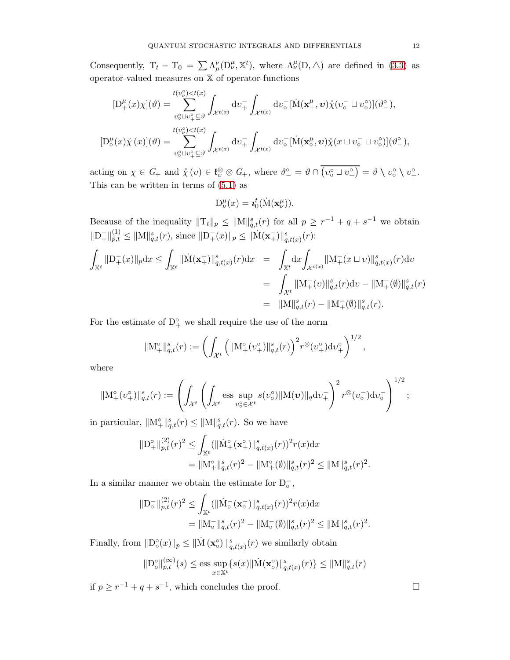Consequently,  $T_t - T_0 = \sum \Lambda^{\nu}_{\mu}(\mathcal{D}^{\mu}_{\nu}, \mathbb{X}^t)$ , where  $\Lambda^{\mu}_{\nu}(\mathcal{D}, \triangle)$  are defined in [\(3.3\)](#page-4-1) as operator-valued measures on X of operator-functions

$$
[D_{+}^{\mu}(x)\chi](\vartheta) = \sum_{\substack{v_{\circ}^{\circ}\sqcup v_{+}^{\circ}\subseteq\vartheta\\v_{\circ}^{\circ}\sqcup v_{+}^{\circ}\subseteq\vartheta}}^{t(v_{\nu}^{\circ})  

$$
[D_{\circ}^{\mu}(x)\dot{\chi}(x)](\vartheta) = \sum_{v_{\circ}^{\circ}\sqcup v_{+}^{\circ}\subseteq\vartheta}^{t(v_{\nu}^{\circ})
$$
$$

acting on  $\chi \in G_+$  and  $\chi(v) \in \mathfrak{k}_v^{\otimes} \otimes G_+$ , where  $\vartheta_-^{\circ} = \vartheta \cap \overline{(v_0^{\circ} \sqcup v_+^{\circ})} = \vartheta \setminus v_0^{\circ} \setminus v_+^{\circ}$ . This can be written in terms of [\(5.1\)](#page-7-0) as

$$
D^{\mu}_{\nu}(x) = \mathbf{z}_0^t(\dot{M}(\mathbf{x}^{\mu}_{\nu})).
$$

Because of the inequality  $||T_t||_p \le ||M||_{q,t}^s(r)$  for all  $p \ge r^{-1} + q + s^{-1}$  we obtain  $||D_{+}^{-}||_{p,t}^{(1)} \leq ||M||_{q,t}^{s}(r),$  since  $||D_{+}^{-}(x)||_{p} \leq ||\dot{M}(\mathbf{x}_{+}^{-})||_{q,t(x)}^{s}(r)$ :

$$
\int_{\mathbb{X}^t} ||\mathbf{D}_+^-(x)||_p \, dx \le \int_{\mathbb{X}^t} ||\dot{\mathbf{M}}(\mathbf{x}_+^-)||_{q,t(x)}^s(r) \, dx = \int_{\mathbb{X}^t} dx \int_{\mathcal{X}^{t(x)}} ||\mathbf{M}_+^-(x \sqcup v)||_{q,t(x)}^s(r) \, dv
$$
\n
$$
= \int_{\mathcal{X}^t} ||\mathbf{M}_+^-(v)||_{q,t}^s(r) \, dv - ||\mathbf{M}_+^-(\emptyset)||_{q,t}^s(r)
$$
\n
$$
= ||\mathbf{M}||_{q,t}^s(r) - ||\mathbf{M}_+^-(\emptyset)||_{q,t}^s(r).
$$

For the estimate of  $D_+^{\circ}$  we shall require the use of the norm

$$
\|\mathbf{M}^{\circ}_{+}\|_{q,t}^s(r) := \left(\int_{\mathcal{X}^t} \left(\|\mathbf{M}^{\circ}_{+}(\upsilon^{\circ}_{+})\|_{q,t}^s(r)\right)^2 r^{\otimes}(\upsilon^{\circ}_{+}) d\upsilon^{\circ}_{+}\right)^{1/2},
$$

where

$$
\|\mathbf{M}^{\circ}_{+}(\upsilon^{\circ}_{+})\|^{s}_{q,t}(r):=\left(\int_{\mathcal{X}^{t}}\left(\int_{\mathcal{X}^{t}}\mathop{\mathrm{ess~sup}}\limits_{\upsilon_{\circ}^{o}\in\mathcal{X}^{t}}s(\upsilon^{\circ}_{\circ})\|\mathbf{M}(\boldsymbol{v})\|_{q}\mathrm{d}\upsilon_{+}^{-}\right)^{2}r^{\otimes}(\upsilon_{\circ}^{-})\mathrm{d}\upsilon_{\circ}^{-}\right)^{1/2};
$$

in particular,  $||M_+^{\circ}||_{q,t}^s(r) \le ||M||_{q,t}^s(r)$ . So we have

$$
\|D_{+}^{\circ}\|_{p,t}^{(2)}(r)^{2} \leq \int_{\mathbb{X}^{t}} (\|\dot{M}_{+}^{\circ}(\mathbf{x}_{+}^{\circ})\|_{q,t(x)}^{s}(r))^{2} r(x) dx
$$
  
= 
$$
\|M_{+}^{\circ}\|_{q,t}^{s}(r)^{2} - \|M_{+}^{\circ}(\emptyset)\|_{q,t}^{s}(r)^{2} \leq \|M\|_{q,t}^{s}(r)^{2}.
$$

In a similar manner we obtain the estimate for  $\mathrm{D}_\circ^- ,$ 

$$
\|D_{\circ}^{-}\|_{p,t}^{(2)}(r)^{2} \leq \int_{\mathbb{X}^{t}} (\|\dot{M}_{\circ}^{-}(\mathbf{x}_{\circ}^{-})\|_{q,t(x)}^{s}(r))^{2} r(x) dx
$$
  
=\|M\_{\circ}^{-}\|\_{q,t}^{s}(r)^{2} - \|M\_{\circ}^{-}(\emptyset)\|\_{q,t}^{s}(r)^{2} \leq \|M\|\_{q,t}^{s}(r)^{2}.

Finally, from  $||D_0^{\circ}(x)||_p \le ||\dot{M}(\mathbf{x}_0^{\circ})||_{q,t(x)}^s(r)$  we similarly obtain

$$
\|\mathcal{D}_{\circ}^{\circ}\|_{p,t}^{(\infty)}(s) \le \underset{x \in \mathbb{X}^t}{\text{ess sup }} \{s(x)\|\dot{\mathcal{M}}(\mathbf{x}_{\circ}^{\circ})\|_{q,t(x)}^s(r)\} \le \|\mathcal{M}\|_{q,t}^s(r)
$$

if  $p \ge r^{-1} + q + s^{-1}$ , which concludes the proof. □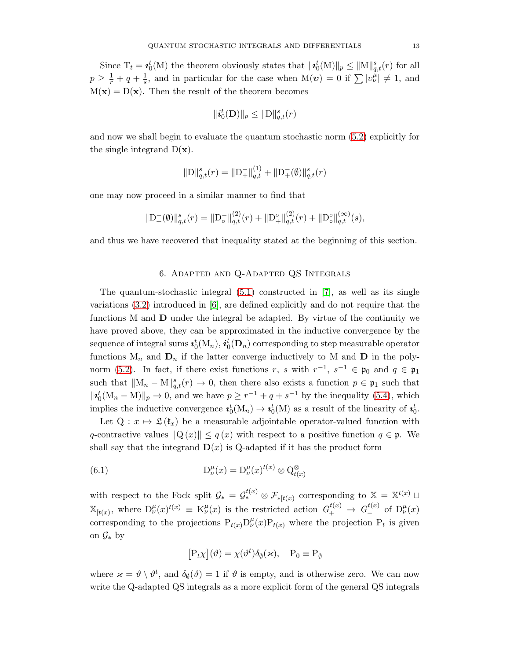Since  $T_t = \mathbf{i}_0^t(M)$  the theorem obviously states that  $\|\mathbf{i}_0^t(M)\|_p \leq \|M\|_{q,t}^s(r)$  for all  $p \geq \frac{1}{r} + q + \frac{1}{s}$  $\frac{1}{s}$ , and in particular for the case when  $M(\boldsymbol{v}) = 0$  if  $\sum |v^{\mu}_{\nu}| \neq 1$ , and  $M(x) = D(x)$ . Then the result of the theorem becomes

$$
\|\boldsymbol{i}_0^t(\mathbf{D})\|_p \leq \|\mathrm{D}\|_{q,t}^s(r)
$$

and now we shall begin to evaluate the quantum stochastic norm [\(5.2\)](#page-8-1) explicitly for the single integrand  $D(\mathbf{x})$ .

$$
\|\mathbf{D}\|_{q,t}^s(r) = \|\mathbf{D}_+^-\|_{q,t}^{(1)} + \|\mathbf{D}_+^-(\emptyset)\|_{q,t}^s(r)
$$

one may now proceed in a similar manner to find that

$$
\|\mathcal{D}_{+}^{-}(\emptyset)\|_{q,t}^{s}(r) = \|\mathcal{D}_{\circ}^{-}\|_{q,t}^{(2)}(r) + \|\mathcal{D}_{+}^{\circ}\|_{q,t}^{(2)}(r) + \|\mathcal{D}_{\circ}^{\circ}\|_{q,t}^{(\infty)}(s),
$$

and thus we have recovered that inequality stated at the beginning of this section.

# 6. Adapted and Q-Adapted QS Integrals

The quantum-stochastic integral  $(5.1)$  constructed in  $[7]$ , as well as its single variations [\(3.2\)](#page-4-0) introduced in [\[6\]](#page-16-6), are defined explicitly and do not require that the functions M and D under the integral be adapted. By virtue of the continuity we have proved above, they can be approximated in the inductive convergence by the sequence of integral sums  $\bm{\imath}_0^t(\mathrm{M}_n),$   $\bm{\imath}_0^t(\mathbf{D}_n)$  corresponding to step measurable operator functions  $M_n$  and  $D_n$  if the latter converge inductively to M and D in the poly-norm [\(5.2\)](#page-8-1). In fact, if there exist functions r, s with  $r^{-1}$ ,  $s^{-1} \in \mathfrak{p}_0$  and  $q \in \mathfrak{p}_1$ such that  $||M_n - M||_{q,t}^s(r) \to 0$ , then there also exists a function  $p \in \mathfrak{p}_1$  such that  $||\mathbf{z}_0^t(\mathbf{M}_n - \mathbf{M})||_p \to 0$ , and we have  $p \geq r^{-1} + q + s^{-1}$  by the inequality [\(5.4\)](#page-9-0), which implies the inductive convergence  $\mathbf{z}_0^t(M_n) \to \mathbf{z}_0^t(M)$  as a result of the linearity of  $\mathbf{z}_0^t$ .

Let  $Q: x \mapsto \mathfrak{L}(\mathfrak{k}_x)$  be a measurable adjointable operator-valued function with q-contractive values  $\|Q(x)\| \leq q(x)$  with respect to a positive function  $q \in \mathfrak{p}$ . We shall say that the integrand  $\mathbf{D}(x)$  is Q-adapted if it has the product form

(6.1) 
$$
D_{\nu}^{\mu}(x) = D_{\nu}^{\mu}(x)^{t(x)} \otimes Q_{t(x)}^{\otimes}
$$

with respect to the Fock split  $\mathcal{G}_* = \mathcal{G}_*^{t(x)} \otimes \mathcal{F}_{*|t(x)}$  corresponding to  $\mathbb{X} = \mathbb{X}^{t(x)}$  $\mathbb{X}_{[t(x)]}$ , where  $D^{\mu}_{\nu}(x)^{t(x)} \equiv K^{\mu}_{\nu}(x)$  is the restricted action  $G^{t(x)}_{+} \to G^{t(x)}_{-}$  of  $D^{\mu}_{\nu}(x)$ corresponding to the projections  $P_{t(x)}D^{\mu}_{\nu}(x)P_{t(x)}$  where the projection  $P_t$  is given on  $\mathcal{G}_*$  by

$$
[P_t \chi](\vartheta) = \chi(\vartheta^t) \delta_{\varnothing}(\varkappa), \quad P_0 \equiv P_{\varnothing}
$$

where  $\varkappa = \vartheta \setminus \vartheta^t$ , and  $\delta_{\varnothing}(\vartheta) = 1$  if  $\vartheta$  is empty, and is otherwise zero. We can now write the Q-adapted QS integrals as a more explicit form of the general QS integrals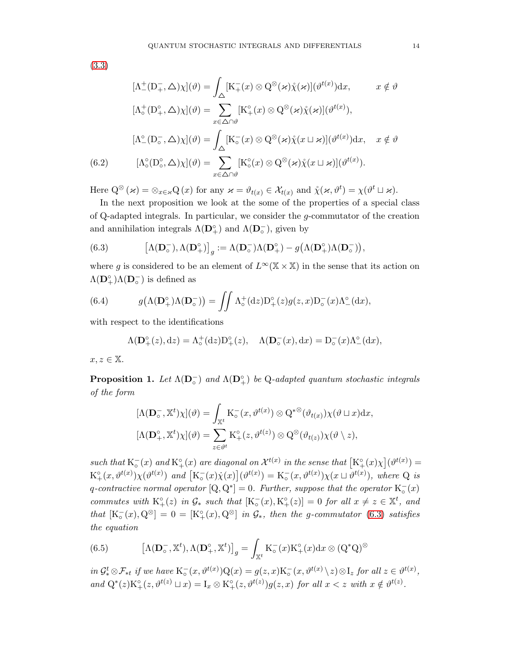[\(3.3\)](#page-4-1)

$$
[\Lambda_{-}^{+}(\mathbf{D}_{+}^{-}, \triangle)\chi](\vartheta) = \int_{\Delta} [\mathbf{K}_{+}^{-}(x) \otimes \mathbf{Q}^{\otimes}(\varkappa)\hat{\chi}(\varkappa)](\vartheta^{t(x)})dx, \qquad x \notin \vartheta
$$

$$
[\Lambda_{\circ}^{+}(\mathbf{D}_{+}^{\circ}, \triangle)\chi](\vartheta) = \sum_{x \in \triangle \cap \vartheta} [\mathbf{K}_{+}^{\circ}(x) \otimes \mathbf{Q}^{\otimes}(\varkappa)\hat{\chi}(\varkappa)](\vartheta^{t(x)}),
$$

$$
[\Lambda_{-}^{\circ}(\mathbf{D}_{\circ}^{-}, \triangle)\chi](\vartheta) = \int_{\triangle} [\mathbf{K}_{\circ}^{-}(x) \otimes \mathbf{Q}^{\otimes}(\varkappa)\hat{\chi}(x \sqcup \varkappa)](\vartheta^{t(x)})dx, \quad x \notin \vartheta
$$

$$
[\Lambda_{\circ}^{\circ}(\mathbf{D}_{\circ}^{\circ}, \triangle)\chi](\vartheta) = \sum_{x \in \triangle \cap \vartheta} [\mathbf{K}_{\circ}^{\circ}(x) \otimes \mathbf{Q}^{\otimes}(\varkappa)\hat{\chi}(x \sqcup \varkappa)](\vartheta^{t(x)}).
$$

Here  $Q^{\otimes}(\varkappa) = \otimes_{x \in \varkappa} Q(x)$  for any  $\varkappa = \vartheta_{t(x)} \in \mathcal{X}_{t(x)}$  and  $\mathring{\chi}(\varkappa, \vartheta^t) = \chi(\vartheta^t \sqcup \varkappa)$ .

In the next proposition we look at the some of the properties of a special class of Q-adapted integrals. In particular, we consider the g-commutator of the creation and annihilation integrals  $\Lambda(\mathbf{D}_+^{\circ})$  and  $\Lambda(\mathbf{D}_\circ^-)$ , given by

<span id="page-13-0"></span>(6.3) 
$$
\left[\Lambda(\mathbf{D}_{\circ}^{-}),\Lambda(\mathbf{D}_{+}^{\circ})\right]_{g} := \Lambda(\mathbf{D}_{\circ}^{-})\Lambda(\mathbf{D}_{+}^{\circ}) - g\left(\Lambda(\mathbf{D}_{+}^{\circ})\Lambda(\mathbf{D}_{\circ}^{-})\right),
$$

where g is considered to be an element of  $L^{\infty}(\mathbb{X} \times \mathbb{X})$  in the sense that its action on  $\Lambda(\mathbf{D}_+^{\circ})\Lambda(\mathbf{D}_\circ^-)$  is defined as

(6.4) 
$$
g(\Lambda(\mathbf{D}_{+}^{\circ})\Lambda(\mathbf{D}_{\circ}^{-})) = \iint \Lambda_{\circ}^{+}(dz)D_{+}^{\circ}(z)g(z,x)D_{\circ}^{-}(x)\Lambda_{-}^{\circ}(dx),
$$

with respect to the identifications

$$
\Lambda(\mathbf{D}^{\circ}_{+}(z),dz) = \Lambda^+_{\circ}(dz)\mathbf{D}^{\circ}_{+}(z), \quad \Lambda(\mathbf{D}^-_{\circ}(x),dx) = \mathbf{D}^-_{\circ}(x)\Lambda^{\circ}_{-}(dx),
$$

 $x, z \in \mathbb{X}$ .

**Proposition 1.** Let  $\Lambda(\mathbf{D}_{\circ}^{-})$  and  $\Lambda(\mathbf{D}_{+}^{\circ})$  be Q-adapted quantum stochastic integrals of the form

$$
[\Lambda(\mathbf{D}_{\circ}^{-}, \mathbb{X}^{t})\chi](\vartheta) = \int_{\mathbb{X}^{t}} K_{\circ}^{-}(x, \vartheta^{t(x)}) \otimes Q^{* \otimes}(\vartheta_{t(x)})\chi(\vartheta \sqcup x) dx,
$$
  

$$
[\Lambda(\mathbf{D}_{+}^{\circ}, \mathbb{X}^{t})\chi](\vartheta) = \sum_{z \in \vartheta^{t}} K_{+}^{\circ}(z, \vartheta^{t(z)}) \otimes Q^{\otimes}(\vartheta_{t(z)})\chi(\vartheta \setminus z),
$$

such that  $K_o^-(x)$  and  $K^o_+(x)$  are diagonal on  $\mathcal{X}^{t(x)}$  in the sense that  $K^o_+(x)\chi](\vartheta^{t(x)}) =$  $K^{\circ}_{+}(x, \vartheta^{t(x)}) \chi(\vartheta^{t(x)})$  and  $\left[K^{\circ}_{\circ}(x)\dot{\chi}(x)\right](\vartheta^{t(x)}) = K^{\circ}_{\circ}(x, \vartheta^{t(x)})\chi(x \sqcup \vartheta^{t(x)})$ , where Q is q-contractive normal operator  $[Q, Q^*]=0$ . Further, suppose that the operator  $K_{\circ}^-(x)$ commutes with  $K^{\circ}_{+}(z)$  in  $\mathcal{G}_{*}$  such that  $[K_{\circ}^{-}(x), K^{\circ}_{+}(z)] = 0$  for all  $x \neq z \in \mathbb{X}^{t}$ , and that  $[K_{\circ}^-(x), Q^{\otimes}] = 0 = [K^{\circ}_{+}(x), Q^{\otimes}]$  in  $\mathcal{G}_{*}$ , then the g-commutator [\(6.3\)](#page-13-0) satisfies the equation

(6.5) 
$$
\left[\Lambda(\mathbf{D}_{\circ}^{-}, \mathbb{X}^{t}), \Lambda(\mathbf{D}_{+}^{\circ}, \mathbb{X}^{t})\right]_{g} = \int_{\mathbb{X}^{t}} \mathrm{K}_{\circ}^{-}(x) \mathrm{K}_{+}^{\circ}(x) \mathrm{d}x \otimes (\mathrm{Q}^{*}\mathrm{Q})^{\otimes}
$$

 $in \mathcal{G}_{*}^{t} \otimes \mathcal{F}_{*t}$  if we have  $K_{\circ}^{-}(x, \vartheta^{t(x)})Q(x) = g(z, x)K_{\circ}^{-}(x, \vartheta^{t(x)} \setminus z) \otimes I_{z}$  for all  $z \in \vartheta^{t(x)}$ , and  $Q^*(z)K^{\circ}_{+}(z, \vartheta^{t(z)} \sqcup x) = I_x \otimes K^{\circ}_{+}(z, \vartheta^{t(z)})g(z, x)$  for all  $x < z$  with  $x \notin \vartheta^{t(z)}$ .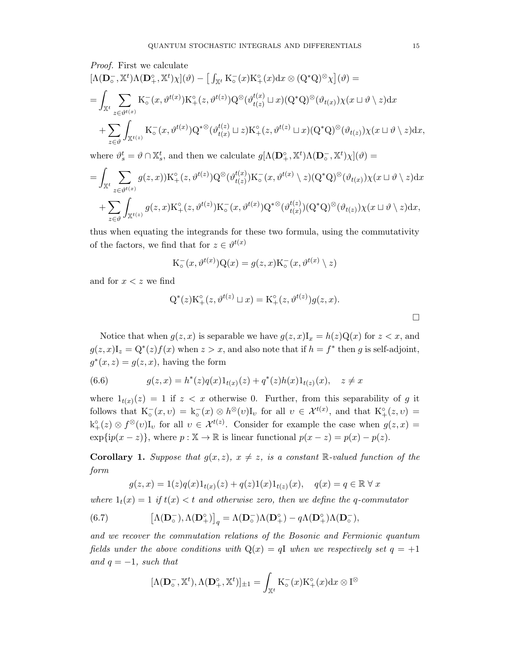Proof. First we calculate

$$
\begin{split}\n&\left[\Lambda(\mathbf{D}_{\circ}^{-},\mathbb{X}^{t})\Lambda(\mathbf{D}_{+}^{\circ},\mathbb{X}^{t})\chi\right](\vartheta)-\left[\int_{\mathbb{X}^{t}}\mathrm{K}_{\circ}^{-}(x)\mathrm{K}_{+}^{\circ}(x)\mathrm{d}x\otimes(\mathrm{Q}^{*}\mathrm{Q})^{\otimes}\chi\right](\vartheta)= \\
&=\int_{\mathbb{X}^{t}}\sum_{z\in\vartheta^{t(x)}}\mathrm{K}_{\circ}^{-}(x,\vartheta^{t(x)})\mathrm{K}_{+}^{\circ}(z,\vartheta^{t(z)})\mathrm{Q}^{\otimes}(\vartheta^{t(x)}_{t(z)}\sqcup x)(\mathrm{Q}^{*}\mathrm{Q})^{\otimes}(\vartheta_{t(x)})\chi(x\sqcup\vartheta\setminus z)\mathrm{d}x \\
&+\sum_{z\in\vartheta}\int_{\mathbb{X}^{t(z)}}\mathrm{K}_{\circ}^{-}(x,\vartheta^{t(x)})\mathrm{Q}^{*^{\otimes}}(\vartheta^{t(z)}_{t(x)}\sqcup z)\mathrm{K}_{+}^{\circ}(z,\vartheta^{t(z)}\sqcup x)(\mathrm{Q}^{*}\mathrm{Q})^{\otimes}(\vartheta_{t(z)})\chi(x\sqcup\vartheta\setminus z)\mathrm{d}x,\n\end{split}
$$

where  $\vartheta_s^t = \vartheta \cap \mathbb{X}_s^t$ , and then we calculate  $g[\Lambda(\mathbf{D}_+^{\circ}, \mathbb{X}^t)\Lambda(\mathbf{D}_\circ^{\circ}, \mathbb{X}^t)\chi](\vartheta) =$ 

$$
= \int_{\mathbb{X}^t} \sum_{z \in \vartheta^{t(x)}} g(z, x) \mathcal{K}^{\circ}_{+}(z, \vartheta^{t(z)}) \mathcal{Q}^{\otimes}(\vartheta^{t(x)}_{t(z)}) \mathcal{K}^{-}_{\circ}(x, \vartheta^{t(x)} \setminus z) (\mathcal{Q}^* \mathcal{Q})^{\otimes}(\vartheta_{t(x)}) \chi(x \sqcup \vartheta \setminus z) dx + \sum_{z \in \vartheta} \int_{\mathbb{X}^{t(z)}} g(z, x) \mathcal{K}^{\circ}_{+}(z, \vartheta^{t(z)}) \mathcal{K}^{-}_{\circ}(x, \vartheta^{t(x)}) \mathcal{Q}^{* \otimes}(\vartheta^{t(z)}_{t(x)}) (\mathcal{Q}^* \mathcal{Q})^{\otimes}(\vartheta_{t(z)}) \chi(x \sqcup \vartheta \setminus z) dx,
$$

thus when equating the integrands for these two formula, using the commutativity of the factors, we find that for  $z \in \vartheta^{t(x)}$ 

$$
K_{\circ}^-(x, \vartheta^{t(x)})Q(x) = g(z, x)K_{\circ}^-(x, \vartheta^{t(x)} \setminus z)
$$

and for  $x < z$  we find

$$
Q^{*}(z)K_{+}^{\circ}(z, \vartheta^{t(z)} \sqcup x) = K_{+}^{\circ}(z, \vartheta^{t(z)})g(z, x).
$$

Notice that when  $g(z, x)$  is separable we have  $g(z, x)I_x = h(z)Q(x)$  for  $z < x$ , and  $g(z, x)I_z = Q^*(z)f(x)$  when  $z > x$ , and also note that if  $h = f^*$  then g is self-adjoint,  $g^*(x, z) = g(z, x)$ , having the form

(6.6) 
$$
g(z,x) = h^{*}(z)q(x)1_{t(x)}(z) + q^{*}(z)h(x)1_{t(z)}(x), \quad z \neq x
$$

where  $1_{t(x)}(z) = 1$  if  $z < x$  otherwise 0. Further, from this separability of g it follows that  $K_{\circ}^-(x,v) = k_{\circ}^-(x) \otimes h^{\otimes}(v)I_v$  for all  $v \in \mathcal{X}^{t(x)}$ , and that  $K_{+}^{\circ}(z,v) =$  $k_+^{\circ}(z) \otimes f^{\otimes}(v)I_v$  for all  $v \in \mathcal{X}^{t(z)}$ . Consider for example the case when  $g(z,x) =$  $exp\{ip(x-z)\}\text{, where } p:\mathbb{X}\to\mathbb{R} \text{ is linear functional } p(x-z)=p(x)-p(z).$ 

**Corollary 1.** Suppose that  $g(x, z)$ ,  $x \neq z$ , is a constant R-valued function of the form

$$
g(z,x) = 1(z)q(x)1_{t(x)}(z) + q(z)1(x)1_{t(z)}(x), \quad q(x) = q \in \mathbb{R} \,\forall \, x
$$

where  $1_t(x) = 1$  if  $t(x) < t$  and otherwise zero, then we define the q-commutator

(6.7) 
$$
\left[\Lambda(\mathbf{D}_{\circ}^{-}),\Lambda(\mathbf{D}_{+}^{\circ})\right]_{q} = \Lambda(\mathbf{D}_{\circ}^{-})\Lambda(\mathbf{D}_{+}^{\circ}) - q\Lambda(\mathbf{D}_{+}^{\circ})\Lambda(\mathbf{D}_{\circ}^{-}),
$$

and we recover the commutation relations of the Bosonic and Fermionic quantum fields under the above conditions with  $Q(x) = qI$  when we respectively set  $q = +1$ and  $q = -1$ , such that

$$
[\Lambda(\mathbf{D}_\circ^-,\mathbb{X}^t),\Lambda(\mathbf{D}^\circ_+,\mathbb{X}^t)]_{\pm 1} = \int_{\mathbb{X}^t} \mathrm{K}^-_\circ(x) \mathrm{K}^\circ_+(x) dx \otimes \mathrm{I}^\otimes
$$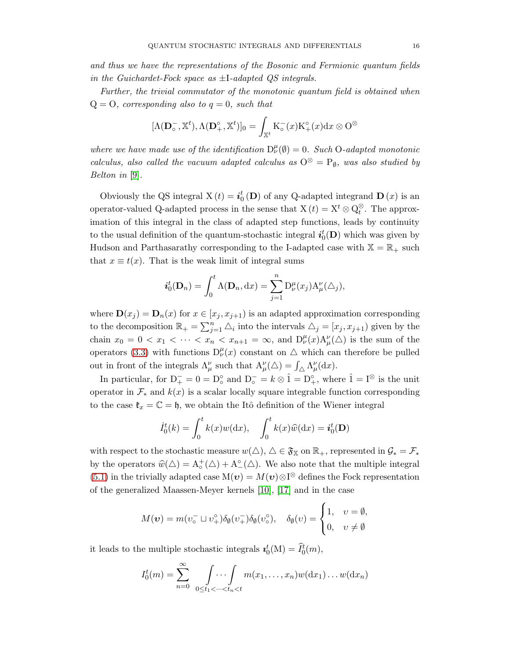and thus we have the representations of the Bosonic and Fermionic quantum fields in the Guichardet-Fock space as  $\pm 1$ -adapted QS integrals.

Further, the trivial commutator of the monotonic quantum field is obtained when  $Q = 0$ , corresponding also to  $q = 0$ , such that

$$
[\Lambda(\mathbf{D}_\circ^-,\mathbb{X}^t),\Lambda(\mathbf{D}^\circ_+,\mathbb{X}^t)]_0 = \int_{\mathbb{X}^t} \mathrm{K}^-_\circ(x) \mathrm{K}^\circ_+(x) dx \otimes \mathrm{O}^\otimes
$$

where we have made use of the identification  $D_{\nu}^{\mu}(\emptyset) = 0$ . Such O-adapted monotonic calculus, also called the vacuum adapted calculus as  $O^{\otimes} = P_{\emptyset}$ , was also studied by Belton in [\[9\]](#page-16-8).

Obviously the QS integral  $X(t) = i_0^t(D)$  of any Q-adapted integrand  $D(x)$  is an operator-valued Q-adapted process in the sense that  $X(t) = X^t \otimes Q_t^{\otimes}$ . The approximation of this integral in the class of adapted step functions, leads by continuity to the usual definition of the quantum-stochastic integral  $\boldsymbol{i}_{0}^{t}(\mathbf{D})$  which was given by Hudson and Parthasarathy corresponding to the I-adapted case with  $\mathbb{X} = \mathbb{R}_+$  such that  $x \equiv t(x)$ . That is the weak limit of integral sums

$$
\boldsymbol{i}_{0}^{t}(\mathbf{D}_{n})=\int_{0}^{t} \Lambda(\mathbf{D}_{n}, \mathrm{d}x) = \sum_{j=1}^{n} \mathrm{D}_{\nu}^{\mu}(x_{j}) \mathrm{A}_{\mu}^{\nu}(\triangle_{j}),
$$

where  $\mathbf{D}(x_j) = \mathbf{D}_n(x)$  for  $x \in [x_j, x_{j+1})$  is an adapted approximation corresponding to the decomposition  $\mathbb{R}_+ = \sum_{j=1}^n \Delta_i$  into the intervals  $\Delta_j = [x_j, x_{j+1})$  given by the chain  $x_0 = 0 < x_1 < \cdots < x_n < x_{n+1} = \infty$ , and  $D^{\mu}_{\nu}(x) A^{\nu}_{\mu}(\triangle)$  is the sum of the operators [\(3.3\)](#page-4-1) with functions  $D_{\nu}^{\mu}(x)$  constant on  $\Delta$  which can therefore be pulled out in front of the integrals  $\Lambda^{\nu}_{\mu}$  such that  $A^{\nu}_{\mu}(\Delta) = \int_{\Delta} \Lambda^{\nu}_{\mu}(\mathrm{d}x)$ .

In particular, for  $D_+^- = 0 = D_0^{\circ}$  and  $D_0^- = k \otimes \hat{1} = D_+^{\circ}$ , where  $\hat{1} = I^{\otimes}$  is the unit operator in  $\mathcal{F}_*$  and  $k(x)$  is a scalar locally square integrable function corresponding to the case  $\mathfrak{k}_x = \mathbb{C} = \mathfrak{h}$ , we obtain the Itô definition of the Wiener integral

$$
\dot{I}_0^t(k) = \int_0^t k(x)w(\mathrm{d}x), \quad \int_0^t k(x)\widehat{w}(\mathrm{d}x) = \dot{i}_0^t(\mathbf{D})
$$

with respect to the stochastic measure  $w(\triangle)$ ,  $\triangle \in \mathfrak{F}_{\mathbb{X}}$  on  $\mathbb{R}_+$ , represented in  $\mathcal{G}_* = \mathcal{F}_*$ by the operators  $\widehat{w}(\Delta) = A_{\circ}^{+}(\Delta) + A_{\circ}^{\circ}(\Delta)$ . We also note that the multiple integral [\(5.1\)](#page-7-0) in the trivially adapted case  $M(v) = M(v) \otimes I^{\otimes}$  defines the Fock representation of the generalized Maassen-Meyer kernels [\[10\]](#page-17-0), [\[17\]](#page-17-2) and in the case

$$
M(\boldsymbol{v}) = m(v_0^- \sqcup v_+^{\circ}) \delta_{\emptyset}(v_+^-) \delta_{\emptyset}(v_0^{\circ}), \quad \delta_{\emptyset}(v) = \begin{cases} 1, & v = \emptyset, \\ 0, & v \neq \emptyset \end{cases}
$$

it leads to the multiple stochastic integrals  $\mathbf{i}_0^t(M) = \widehat{I}_0^t(m)$ ,

$$
I_0^t(m) = \sum_{n=0}^{\infty} \int \cdots \int \limits_{0 \le t_1 < \cdots < t_n < t} m(x_1, \ldots, x_n) w(\mathrm{d}x_1) \ldots w(\mathrm{d}x_n)
$$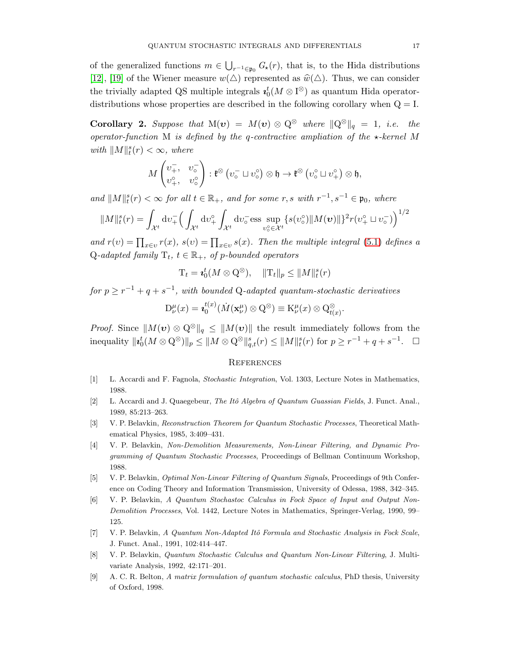of the generalized functions  $m \in \bigcup_{r^{-1} \in \mathfrak{p}_0} G_{\star}(r)$ , that is, to the Hida distributions [\[12\]](#page-17-8), [\[19\]](#page-17-9) of the Wiener measure  $w(\triangle)$  represented as  $\hat{w}(\triangle)$ . Thus, we can consider the trivially adapted QS multiple integrals  $\mathbf{u}_0^t(M \otimes I^{\otimes})$  as quantum Hida operatordistributions whose properties are described in the following corollary when  $Q = I$ .

**Corollary 2.** Suppose that  $M(v) = M(v) \otimes Q^{\otimes}$  where  $||Q^{\otimes}||_q = 1$ , i.e. the operator-function M is defined by the q-contractive ampliation of the  $\star$ -kernel M with  $||M||_t^s(r) < \infty$ , where

$$
M\begin{pmatrix}v^-_+,& v^-_\circ\\v^{\circ}_+,& v^{\circ}_\circ\end{pmatrix} : \mathfrak{k}^\otimes \left(v^-_\circ \sqcup v^{\circ}_\circ\right) \otimes \mathfrak{h} \to \mathfrak{k}^\otimes \left(v^{\circ}_\circ \sqcup v^{\circ}_+\right) \otimes \mathfrak{h},
$$

and  $||M||_t^s(r) < \infty$  for all  $t \in \mathbb{R}_+$ , and for some r, s with  $r^{-1}, s^{-1} \in \mathfrak{p}_0$ , where

$$
||M||_{t}^{s}(r) = \int_{\mathcal{X}^{t}} dv_{+}^{-} \Big( \int_{\mathcal{X}^{t}} dv_{+}^{\circ} \int_{\mathcal{X}^{t}} dv_{\circ}^{-} \text{ess} \sup_{v_{\circ}^{\circ} \in \mathcal{X}^{t}} \{s(v_{\circ}^{\circ}) || M(\boldsymbol{v}) ||\}^{2} r(v_{+}^{\circ} \sqcup v_{\circ}^{-}) \Big)^{1/2}
$$

and  $r(v) = \prod_{x \in v} r(x)$ ,  $s(v) = \prod_{x \in v} s(x)$ . Then the multiple integral [\(5.1\)](#page-7-0) defines a Q-adapted family  $T_t$ ,  $t \in \mathbb{R}_+$ , of p-bounded operators

$$
\mathrm{T}_t = \mathbf{z}_0^t(M \otimes \mathrm{Q}^{\otimes}), \quad \|\mathrm{T}_t\|_p \le \|M\|_t^s(r)
$$

for  $p \geq r^{-1} + q + s^{-1}$ , with bounded Q-adapted quantum-stochastic derivatives

$$
D^{\mu}_{\nu}(x) = \mathbf{z}_{0}^{t(x)}(\dot{M}(\mathbf{x}_{\nu}^{\mu}) \otimes Q^{\otimes}) \equiv K^{\mu}_{\nu}(x) \otimes Q^{\otimes}_{t(x)}.
$$

*Proof.* Since  $||M(v) \otimes Q^{\otimes}||_q \leq ||M(v)||$  the result immediately follows from the inequality  $||\mathbf{t}_0^t(M \otimes \mathbf{Q}^{\otimes})||_p \le ||M \otimes \mathbf{Q}^{\otimes}||_{q,t}^s(r) \le ||M||_t^s(r)$  for  $p \ge r^{-1} + q + s^{-1}$ .  $\Box$ 

### **REFERENCES**

- <span id="page-16-0"></span>[1] L. Accardi and F. Fagnola, Stochastic Integration, Vol. 1303, Lecture Notes in Mathematics, 1988.
- <span id="page-16-1"></span>[2] L. Accardi and J. Quaegebeur, The Itô Algebra of Quantum Guassian Fields, J. Funct. Anal., 1989, 85:213–263.
- <span id="page-16-7"></span>[3] V. P. Belavkin, Reconstruction Theorem for Quantum Stochastic Processes, Theoretical Mathematical Physics, 1985, 3:409–431.
- <span id="page-16-2"></span>[4] V. P. Belavkin, Non-Demolition Measurements, Non-Linear Filtering, and Dynamic Programming of Quantum Stochastic Processes, Proceedings of Bellman Continuum Workshop, 1988.
- <span id="page-16-3"></span>[5] V. P. Belavkin, Optimal Non-Linear Filtering of Quantum Signals, Proceedings of 9th Conference on Coding Theory and Information Transmission, University of Odessa, 1988, 342–345.
- <span id="page-16-6"></span>[6] V. P. Belavkin, A Quantum Stochastoc Calculus in Fock Space of Input and Output Non-Demolition Processes, Vol. 1442, Lecture Notes in Mathematics, Springer-Verlag, 1990, 99– 125.
- <span id="page-16-5"></span>[7] V. P. Belavkin, A Quantum Non-Adapted Itô Formula and Stochastic Analysis in Fock Scale, J. Funct. Anal., 1991, 102:414–447.
- <span id="page-16-4"></span>[8] V. P. Belavkin, Quantum Stochastic Calculus and Quantum Non-Linear Filtering, J. Multivariate Analysis, 1992, 42:171–201.
- <span id="page-16-8"></span>[9] A. C. R. Belton, A matrix formulation of quantum stochastic calculus, PhD thesis, University of Oxford, 1998.